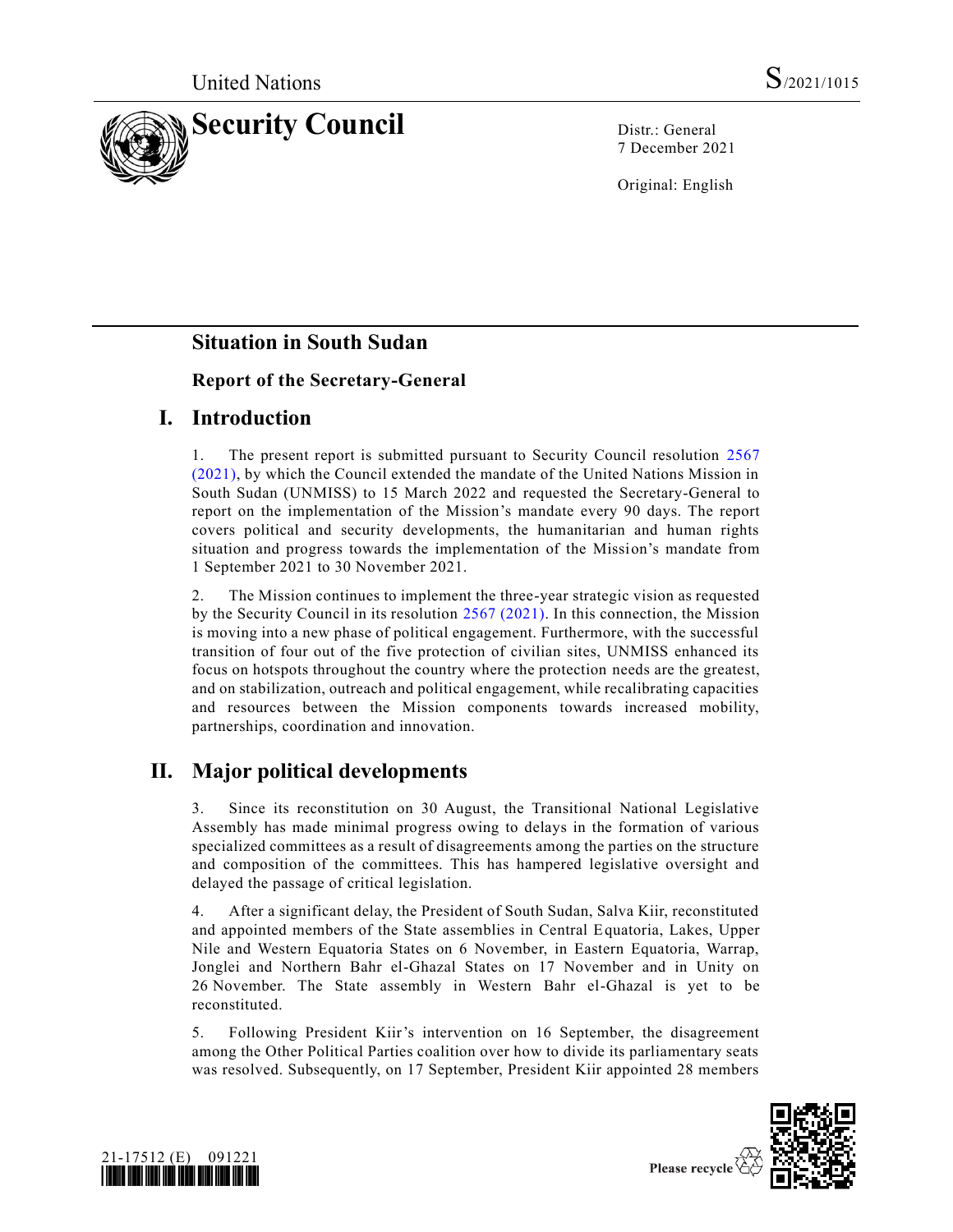

7 December 2021

Original: English

# **Situation in South Sudan**

## **Report of the Secretary-General**

# **I. Introduction**

1. The present report is submitted pursuant to Security Council resolution [2567](https://undocs.org/en/S/RES/2567(2021))  [\(2021\),](https://undocs.org/en/S/RES/2567(2021)) by which the Council extended the mandate of the United Nations Mission in South Sudan (UNMISS) to 15 March 2022 and requested the Secretary-General to report on the implementation of the Mission's mandate every 90 days. The report covers political and security developments, the humanitarian and human rights situation and progress towards the implementation of the Mission's mandate from 1 September 2021 to 30 November 2021.

2. The Mission continues to implement the three-year strategic vision as requested by the Security Council in its resolution [2567 \(2021\).](https://undocs.org/en/S/RES/2567(2021)) In this connection, the Mission is moving into a new phase of political engagement. Furthermore, with the successful transition of four out of the five protection of civilian sites, UNMISS enhanced its focus on hotspots throughout the country where the protection needs are the greatest, and on stabilization, outreach and political engagement, while recalibrating capacities and resources between the Mission components towards increased mobility, partnerships, coordination and innovation.

# **II. Major political developments**

3. Since its reconstitution on 30 August, the Transitional National Legislative Assembly has made minimal progress owing to delays in the formation of various specialized committees as a result of disagreements among the parties on the structure and composition of the committees. This has hampered legislative oversight and delayed the passage of critical legislation.

4. After a significant delay, the President of South Sudan, Salva Kiir, reconstituted and appointed members of the State assemblies in Central Equatoria, Lakes, Upper Nile and Western Equatoria States on 6 November, in Eastern Equatoria, Warrap, Jonglei and Northern Bahr el-Ghazal States on 17 November and in Unity on 26 November. The State assembly in Western Bahr el-Ghazal is yet to be reconstituted.

5. Following President Kiir's intervention on 16 September, the disagreement among the Other Political Parties coalition over how to divide its parliamentary seats was resolved. Subsequently, on 17 September, President Kiir appointed 28 members



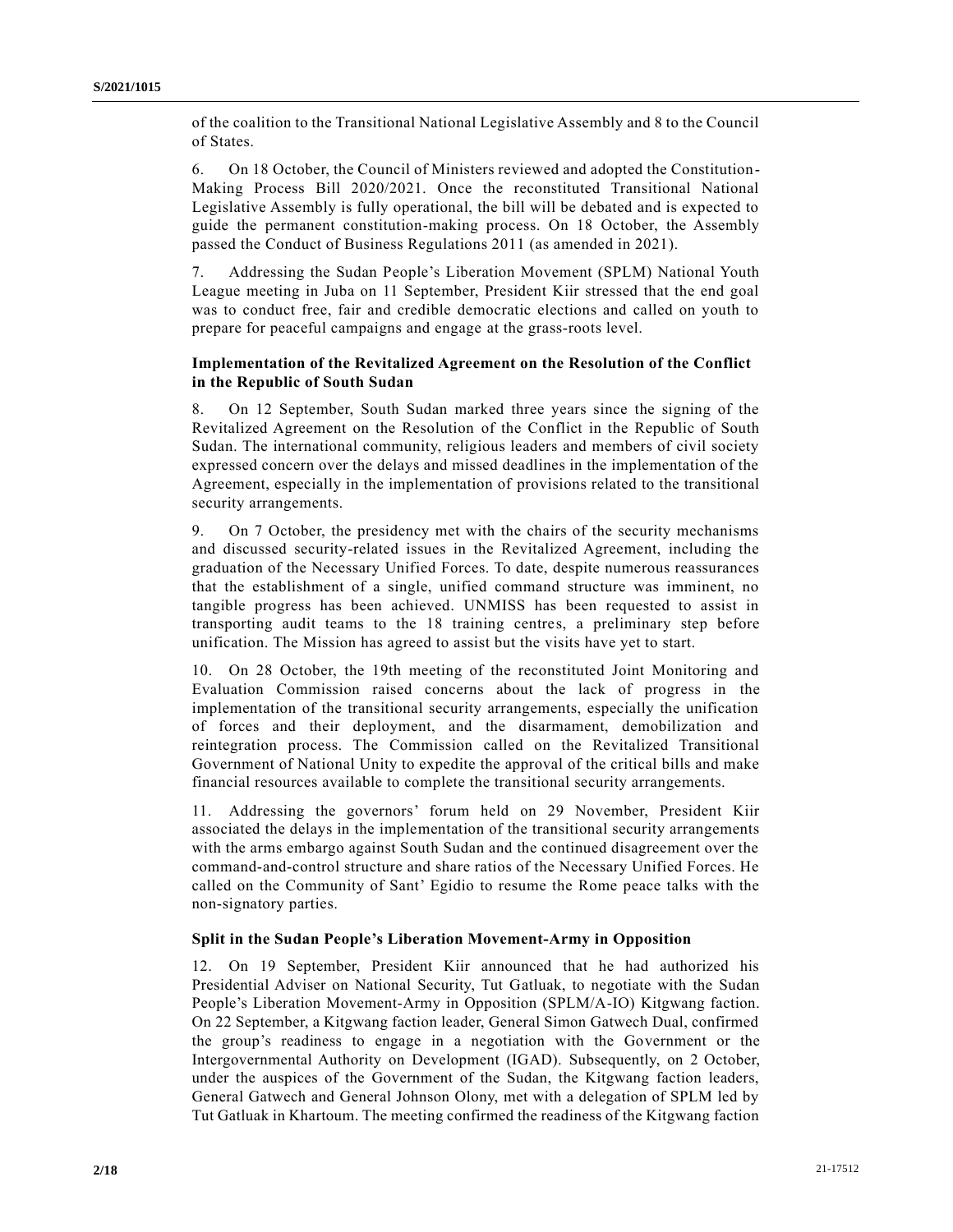of the coalition to the Transitional National Legislative Assembly and 8 to the Council of States.

6. On 18 October, the Council of Ministers reviewed and adopted the Constitution-Making Process Bill 2020/2021. Once the reconstituted Transitional National Legislative Assembly is fully operational, the bill will be debated and is expected to guide the permanent constitution-making process. On 18 October, the Assembly passed the Conduct of Business Regulations 2011 (as amended in 2021).

7. Addressing the Sudan People's Liberation Movement (SPLM) National Youth League meeting in Juba on 11 September, President Kiir stressed that the end goal was to conduct free, fair and credible democratic elections and called on youth to prepare for peaceful campaigns and engage at the grass-roots level.

### **Implementation of the Revitalized Agreement on the Resolution of the Conflict in the Republic of South Sudan**

8. On 12 September, South Sudan marked three years since the signing of the Revitalized Agreement on the Resolution of the Conflict in the Republic of South Sudan. The international community, religious leaders and members of civil society expressed concern over the delays and missed deadlines in the implementation of the Agreement, especially in the implementation of provisions related to the transitional security arrangements.

9. On 7 October, the presidency met with the chairs of the security mechanisms and discussed security-related issues in the Revitalized Agreement, including the graduation of the Necessary Unified Forces. To date, despite numerous reassurances that the establishment of a single, unified command structure was imminent, no tangible progress has been achieved. UNMISS has been requested to assist in transporting audit teams to the 18 training centres, a preliminary step before unification. The Mission has agreed to assist but the visits have yet to start.

10. On 28 October, the 19th meeting of the reconstituted Joint Monitoring and Evaluation Commission raised concerns about the lack of progress in the implementation of the transitional security arrangements, especially the unification of forces and their deployment, and the disarmament, demobilization and reintegration process. The Commission called on the Revitalized Transitional Government of National Unity to expedite the approval of the critical bills and make financial resources available to complete the transitional security arrangements.

11. Addressing the governors' forum held on 29 November, President Kiir associated the delays in the implementation of the transitional security arrangements with the arms embargo against South Sudan and the continued disagreement over the command-and-control structure and share ratios of the Necessary Unified Forces. He called on the Community of Sant' Egidio to resume the Rome peace talks with the non-signatory parties.

#### **Split in the Sudan People's Liberation Movement-Army in Opposition**

12. On 19 September, President Kiir announced that he had authorized his Presidential Adviser on National Security, Tut Gatluak, to negotiate with the Sudan People's Liberation Movement-Army in Opposition (SPLM/A-IO) Kitgwang faction. On 22 September, a Kitgwang faction leader, General Simon Gatwech Dual, confirmed the group's readiness to engage in a negotiation with the Government or the Intergovernmental Authority on Development (IGAD). Subsequently, on 2 October, under the auspices of the Government of the Sudan, the Kitgwang faction leaders, General Gatwech and General Johnson Olony, met with a delegation of SPLM led by Tut Gatluak in Khartoum. The meeting confirmed the readiness of the Kitgwang faction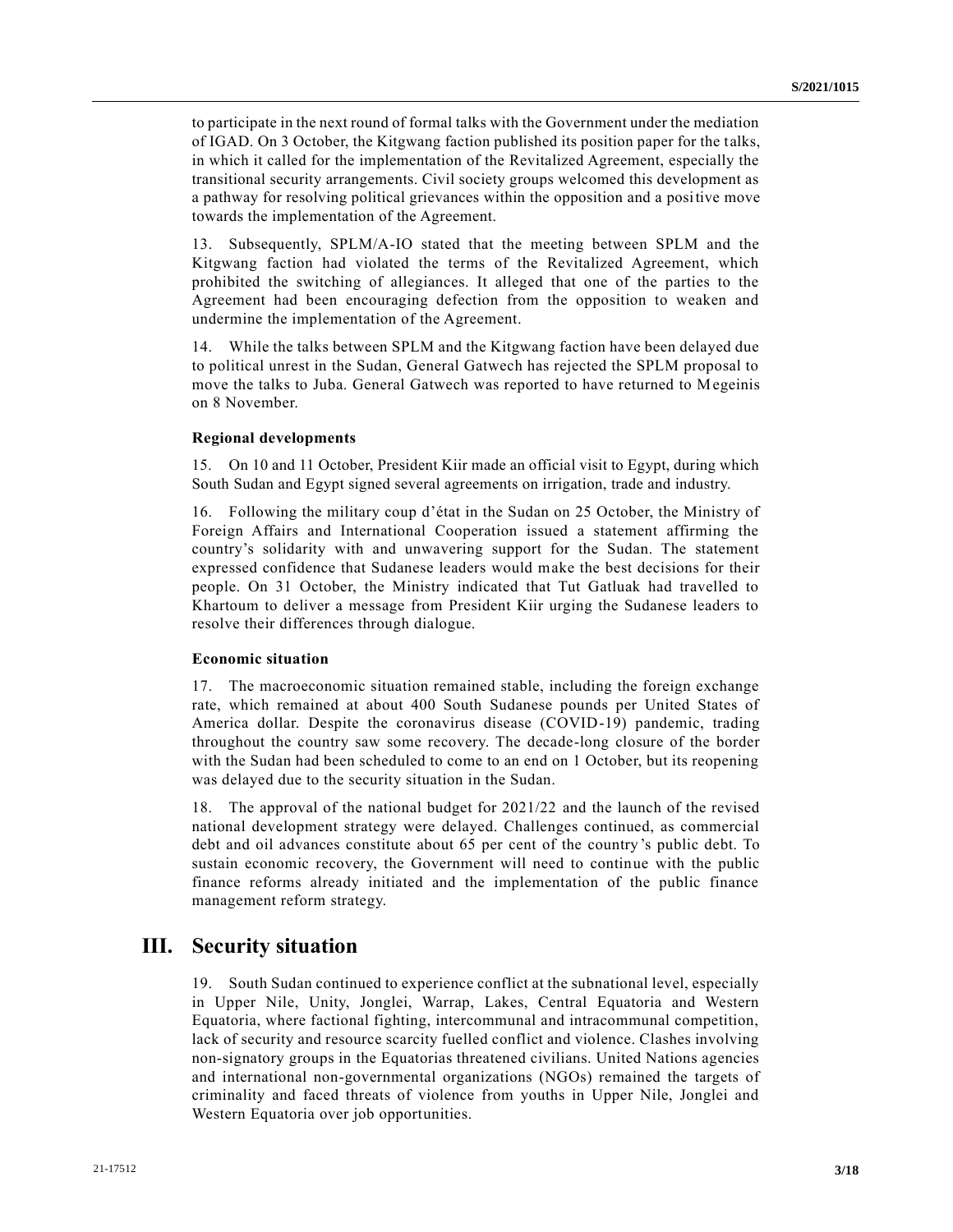to participate in the next round of formal talks with the Government under the mediation of IGAD. On 3 October, the Kitgwang faction published its position paper for the talks, in which it called for the implementation of the Revitalized Agreement, especially the transitional security arrangements. Civil society groups welcomed this development as a pathway for resolving political grievances within the opposition and a positive move towards the implementation of the Agreement.

13. Subsequently, SPLM/A-IO stated that the meeting between SPLM and the Kitgwang faction had violated the terms of the Revitalized Agreement, which prohibited the switching of allegiances. It alleged that one of the parties to the Agreement had been encouraging defection from the opposition to weaken and undermine the implementation of the Agreement.

14. While the talks between SPLM and the Kitgwang faction have been delayed due to political unrest in the Sudan, General Gatwech has rejected the SPLM proposal to move the talks to Juba. General Gatwech was reported to have returned to Megeinis on 8 November.

#### **Regional developments**

15. On 10 and 11 October, President Kiir made an official visit to Egypt, during which South Sudan and Egypt signed several agreements on irrigation, trade and industry.

16. Following the military coup d'état in the Sudan on 25 October, the Ministry of Foreign Affairs and International Cooperation issued a statement affirming the country's solidarity with and unwavering support for the Sudan. The statement expressed confidence that Sudanese leaders would make the best decisions for their people. On 31 October, the Ministry indicated that Tut Gatluak had travelled to Khartoum to deliver a message from President Kiir urging the Sudanese leaders to resolve their differences through dialogue.

#### **Economic situation**

17. The macroeconomic situation remained stable, including the foreign exchange rate, which remained at about 400 South Sudanese pounds per United States of America dollar. Despite the coronavirus disease (COVID-19) pandemic, trading throughout the country saw some recovery. The decade-long closure of the border with the Sudan had been scheduled to come to an end on 1 October, but its reopening was delayed due to the security situation in the Sudan.

18. The approval of the national budget for 2021/22 and the launch of the revised national development strategy were delayed. Challenges continued, as commercial debt and oil advances constitute about 65 per cent of the country's public debt. To sustain economic recovery, the Government will need to continue with the public finance reforms already initiated and the implementation of the public finance management reform strategy.

## **III. Security situation**

19. South Sudan continued to experience conflict at the subnational level, especially in Upper Nile, Unity, Jonglei, Warrap, Lakes, Central Equatoria and Western Equatoria, where factional fighting, intercommunal and intracommunal competition, lack of security and resource scarcity fuelled conflict and violence. Clashes involving non-signatory groups in the Equatorias threatened civilians. United Nations agencies and international non-governmental organizations (NGOs) remained the targets of criminality and faced threats of violence from youths in Upper Nile, Jonglei and Western Equatoria over job opportunities.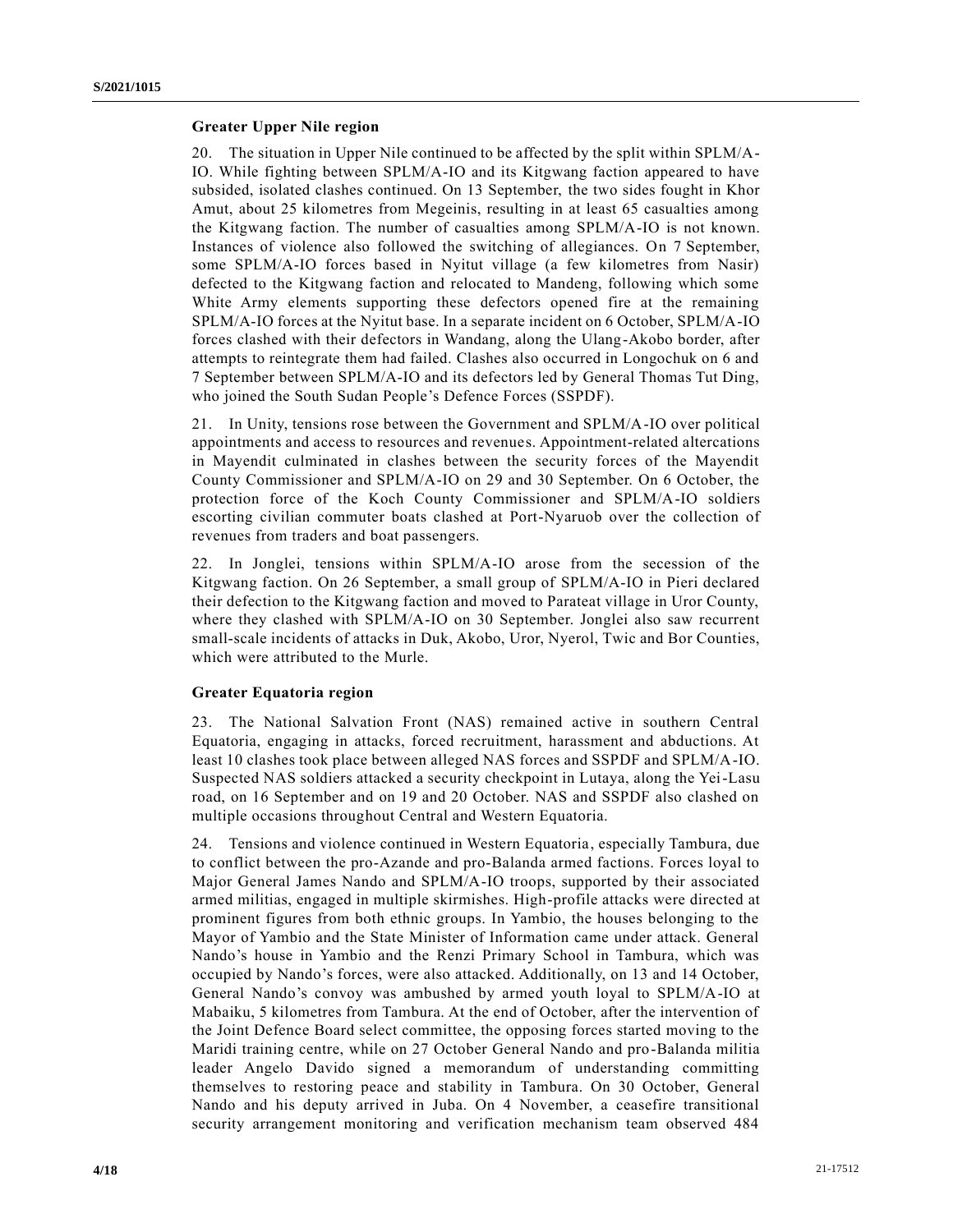#### **Greater Upper Nile region**

20. The situation in Upper Nile continued to be affected by the split within SPLM/A-IO. While fighting between SPLM/A-IO and its Kitgwang faction appeared to have subsided, isolated clashes continued. On 13 September, the two sides fought in Khor Amut, about 25 kilometres from Megeinis, resulting in at least 65 casualties among the Kitgwang faction. The number of casualties among SPLM/A-IO is not known. Instances of violence also followed the switching of allegiances. On 7 September, some SPLM/A-IO forces based in Nyitut village (a few kilometres from Nasir) defected to the Kitgwang faction and relocated to Mandeng, following which some White Army elements supporting these defectors opened fire at the remaining SPLM/A-IO forces at the Nyitut base. In a separate incident on 6 October, SPLM/A-IO forces clashed with their defectors in Wandang, along the Ulang-Akobo border, after attempts to reintegrate them had failed. Clashes also occurred in Longochuk on 6 and 7 September between SPLM/A-IO and its defectors led by General Thomas Tut Ding, who joined the South Sudan People's Defence Forces (SSPDF).

21. In Unity, tensions rose between the Government and SPLM/A-IO over political appointments and access to resources and revenues. Appointment-related altercations in Mayendit culminated in clashes between the security forces of the Mayendit County Commissioner and SPLM/A-IO on 29 and 30 September. On 6 October, the protection force of the Koch County Commissioner and SPLM/A-IO soldiers escorting civilian commuter boats clashed at Port-Nyaruob over the collection of revenues from traders and boat passengers.

22. In Jonglei, tensions within SPLM/A-IO arose from the secession of the Kitgwang faction. On 26 September, a small group of SPLM/A-IO in Pieri declared their defection to the Kitgwang faction and moved to Parateat village in Uror County, where they clashed with SPLM/A-IO on 30 September. Jonglei also saw recurrent small-scale incidents of attacks in Duk, Akobo, Uror, Nyerol, Twic and Bor Counties, which were attributed to the Murle.

### **Greater Equatoria region**

23. The National Salvation Front (NAS) remained active in southern Central Equatoria, engaging in attacks, forced recruitment, harassment and abductions. At least 10 clashes took place between alleged NAS forces and SSPDF and SPLM/A-IO. Suspected NAS soldiers attacked a security checkpoint in Lutaya, along the Yei-Lasu road, on 16 September and on 19 and 20 October. NAS and SSPDF also clashed on multiple occasions throughout Central and Western Equatoria.

24. Tensions and violence continued in Western Equatoria, especially Tambura, due to conflict between the pro-Azande and pro-Balanda armed factions. Forces loyal to Major General James Nando and SPLM/A-IO troops, supported by their associated armed militias, engaged in multiple skirmishes. High-profile attacks were directed at prominent figures from both ethnic groups. In Yambio, the houses belonging to the Mayor of Yambio and the State Minister of Information came under attack. General Nando's house in Yambio and the Renzi Primary School in Tambura, which was occupied by Nando's forces, were also attacked. Additionally, on 13 and 14 October, General Nando's convoy was ambushed by armed youth loyal to SPLM/A-IO at Mabaiku, 5 kilometres from Tambura. At the end of October, after the intervention of the Joint Defence Board select committee, the opposing forces started moving to the Maridi training centre, while on 27 October General Nando and pro-Balanda militia leader Angelo Davido signed a memorandum of understanding committing themselves to restoring peace and stability in Tambura. On 30 October, General Nando and his deputy arrived in Juba. On 4 November, a ceasefire transitional security arrangement monitoring and verification mechanism team observed 484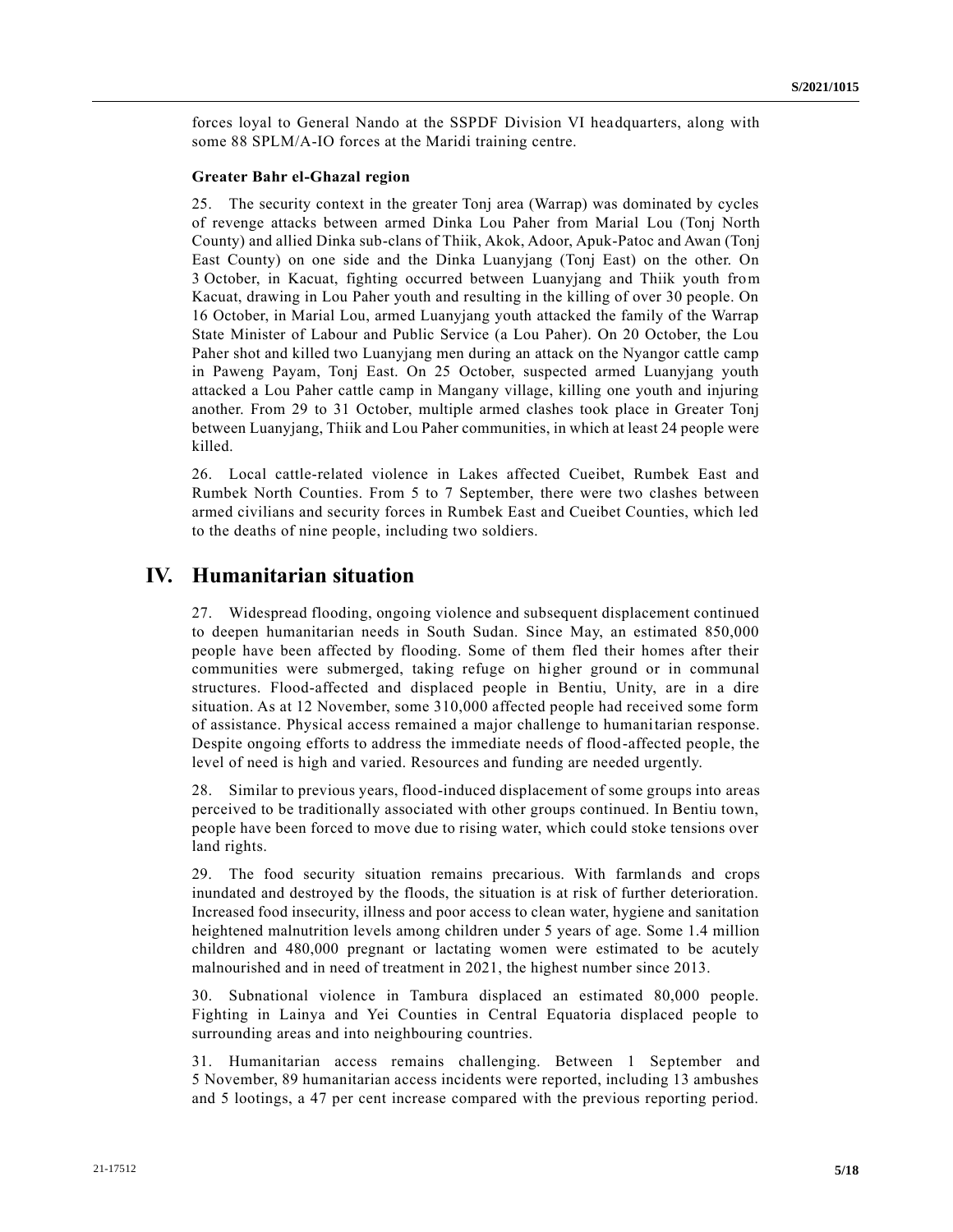forces loyal to General Nando at the SSPDF Division VI headquarters, along with some 88 SPLM/A-IO forces at the Maridi training centre.

#### **Greater Bahr el-Ghazal region**

25. The security context in the greater Tonj area (Warrap) was dominated by cycles of revenge attacks between armed Dinka Lou Paher from Marial Lou (Tonj North County) and allied Dinka sub-clans of Thiik, Akok, Adoor, Apuk-Patoc and Awan (Tonj East County) on one side and the Dinka Luanyjang (Tonj East) on the other. On 3 October, in Kacuat, fighting occurred between Luanyjang and Thiik youth from Kacuat, drawing in Lou Paher youth and resulting in the killing of over 30 people. On 16 October, in Marial Lou, armed Luanyjang youth attacked the family of the Warrap State Minister of Labour and Public Service (a Lou Paher). On 20 October, the Lou Paher shot and killed two Luanyjang men during an attack on the Nyangor cattle camp in Paweng Payam, Tonj East. On 25 October, suspected armed Luanyjang youth attacked a Lou Paher cattle camp in Mangany village, killing one youth and injuring another. From 29 to 31 October, multiple armed clashes took place in Greater Tonj between Luanyjang, Thiik and Lou Paher communities, in which at least 24 people were killed.

26. Local cattle-related violence in Lakes affected Cueibet, Rumbek East and Rumbek North Counties. From 5 to 7 September, there were two clashes between armed civilians and security forces in Rumbek East and Cueibet Counties, which led to the deaths of nine people, including two soldiers.

# **IV. Humanitarian situation**

27. Widespread flooding, ongoing violence and subsequent displacement continued to deepen humanitarian needs in South Sudan. Since May, an estimated 850,000 people have been affected by flooding. Some of them fled their homes after their communities were submerged, taking refuge on higher ground or in communal structures. Flood-affected and displaced people in Bentiu, Unity, are in a dire situation. As at 12 November, some 310,000 affected people had received some form of assistance. Physical access remained a major challenge to humanitarian response. Despite ongoing efforts to address the immediate needs of flood-affected people, the level of need is high and varied. Resources and funding are needed urgently.

28. Similar to previous years, flood-induced displacement of some groups into areas perceived to be traditionally associated with other groups continued. In Bentiu town, people have been forced to move due to rising water, which could stoke tensions over land rights.

29. The food security situation remains precarious. With farmlands and crops inundated and destroyed by the floods, the situation is at risk of further deterioration. Increased food insecurity, illness and poor access to clean water, hygiene and sanitation heightened malnutrition levels among children under 5 years of age. Some 1.4 million children and 480,000 pregnant or lactating women were estimated to be acutely malnourished and in need of treatment in 2021, the highest number since 2013.

30. Subnational violence in Tambura displaced an estimated 80,000 people. Fighting in Lainya and Yei Counties in Central Equatoria displaced people to surrounding areas and into neighbouring countries.

31. Humanitarian access remains challenging. Between 1 September and 5 November, 89 humanitarian access incidents were reported, including 13 ambushes and 5 lootings, a 47 per cent increase compared with the previous reporting period.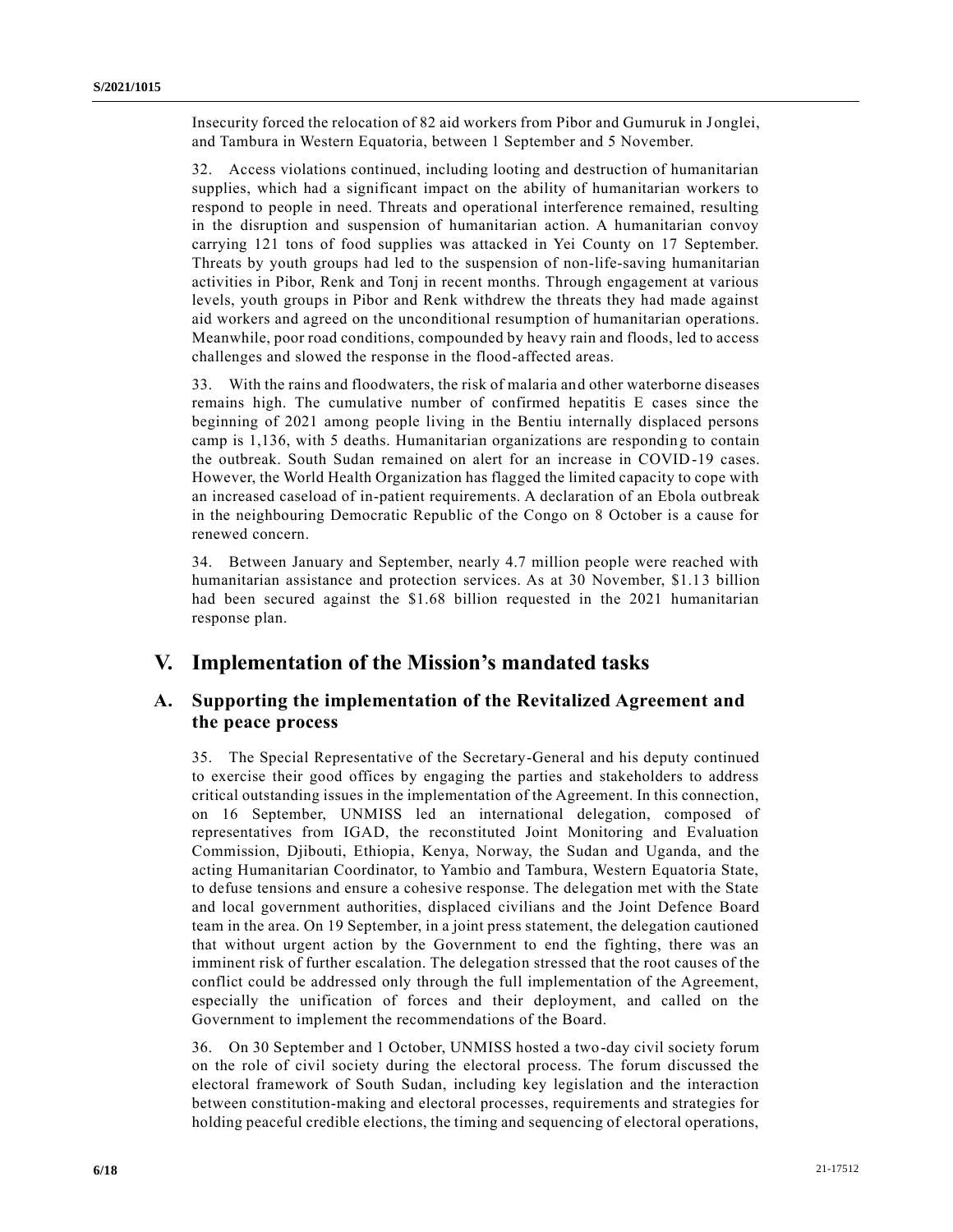Insecurity forced the relocation of 82 aid workers from Pibor and Gumuruk in Jonglei, and Tambura in Western Equatoria, between 1 September and 5 November.

32. Access violations continued, including looting and destruction of humanitarian supplies, which had a significant impact on the ability of humanitarian workers to respond to people in need. Threats and operational interference remained, resulting in the disruption and suspension of humanitarian action. A humanitarian convoy carrying 121 tons of food supplies was attacked in Yei County on 17 September. Threats by youth groups had led to the suspension of non-life-saving humanitarian activities in Pibor, Renk and Tonj in recent months. Through engagement at various levels, youth groups in Pibor and Renk withdrew the threats they had made against aid workers and agreed on the unconditional resumption of humanitarian operations. Meanwhile, poor road conditions, compounded by heavy rain and floods, led to access challenges and slowed the response in the flood-affected areas.

33. With the rains and floodwaters, the risk of malaria and other waterborne diseases remains high. The cumulative number of confirmed hepatitis E cases since the beginning of 2021 among people living in the Bentiu internally displaced persons camp is 1,136, with 5 deaths. Humanitarian organizations are responding to contain the outbreak. South Sudan remained on alert for an increase in COVID-19 cases. However, the World Health Organization has flagged the limited capacity to cope with an increased caseload of in-patient requirements. A declaration of an Ebola outbreak in the neighbouring Democratic Republic of the Congo on 8 October is a cause for renewed concern.

34. Between January and September, nearly 4.7 million people were reached with humanitarian assistance and protection services. As at 30 November, \$1.13 billion had been secured against the \$1.68 billion requested in the 2021 humanitarian response plan.

# **V. Implementation of the Mission's mandated tasks**

### **A. Supporting the implementation of the Revitalized Agreement and the peace process**

35. The Special Representative of the Secretary-General and his deputy continued to exercise their good offices by engaging the parties and stakeholders to address critical outstanding issues in the implementation of the Agreement. In this connection, on 16 September, UNMISS led an international delegation, composed of representatives from IGAD, the reconstituted Joint Monitoring and Evaluation Commission, Djibouti, Ethiopia, Kenya, Norway, the Sudan and Uganda, and the acting Humanitarian Coordinator, to Yambio and Tambura, Western Equatoria State, to defuse tensions and ensure a cohesive response. The delegation met with the State and local government authorities, displaced civilians and the Joint Defence Board team in the area. On 19 September, in a joint press statement, the delegation cautioned that without urgent action by the Government to end the fighting, there was an imminent risk of further escalation. The delegation stressed that the root causes of the conflict could be addressed only through the full implementation of the Agreement, especially the unification of forces and their deployment, and called on the Government to implement the recommendations of the Board.

36. On 30 September and 1 October, UNMISS hosted a two-day civil society forum on the role of civil society during the electoral process. The forum discussed the electoral framework of South Sudan, including key legislation and the interaction between constitution-making and electoral processes, requirements and strategies for holding peaceful credible elections, the timing and sequencing of electoral operations,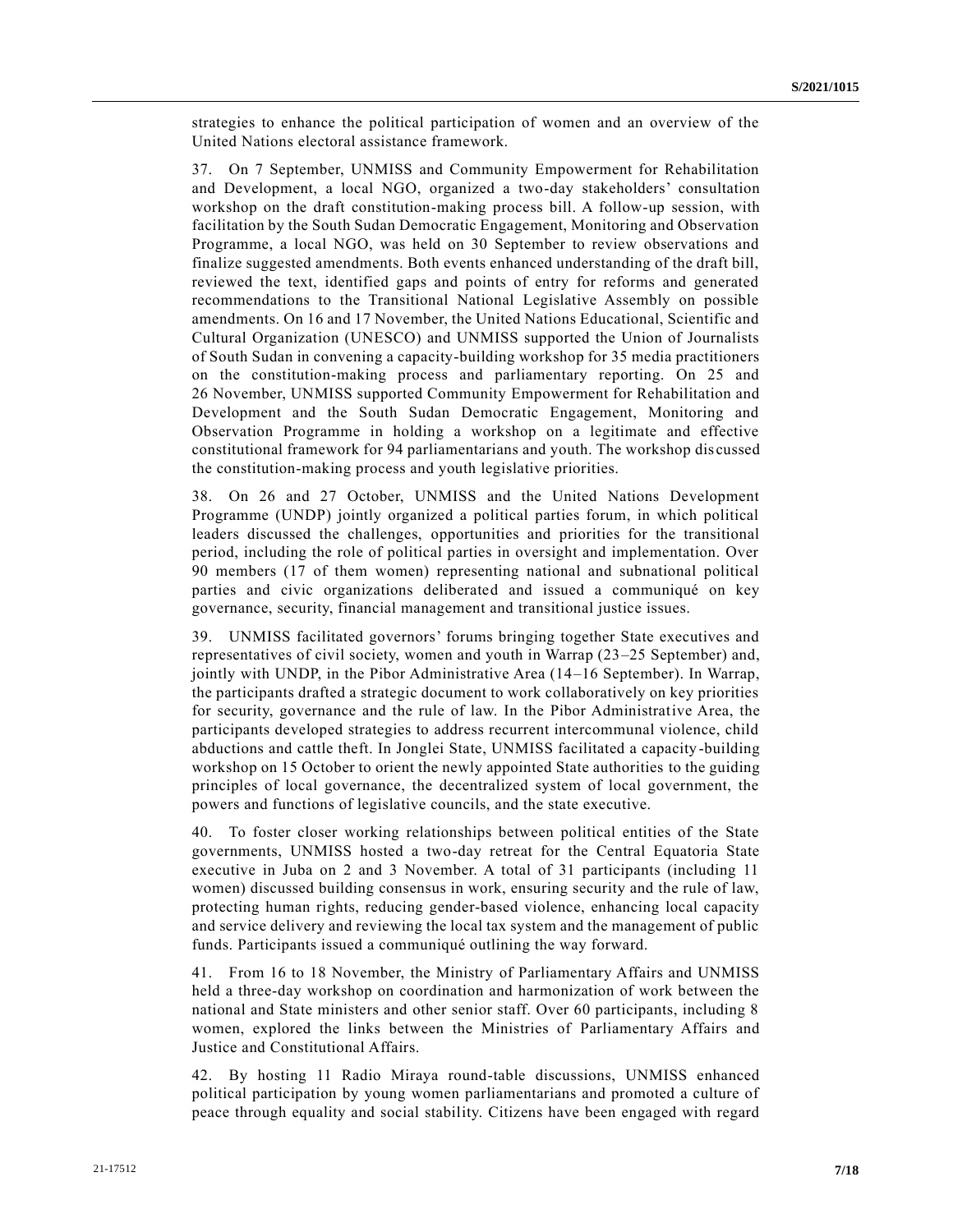strategies to enhance the political participation of women and an overview of the United Nations electoral assistance framework.

37. On 7 September, UNMISS and Community Empowerment for Rehabilitation and Development, a local NGO, organized a two-day stakeholders' consultation workshop on the draft constitution-making process bill. A follow-up session, with facilitation by the South Sudan Democratic Engagement, Monitoring and Observation Programme, a local NGO, was held on 30 September to review observations and finalize suggested amendments. Both events enhanced understanding of the draft bill, reviewed the text, identified gaps and points of entry for reforms and generated recommendations to the Transitional National Legislative Assembly on possible amendments. On 16 and 17 November, the United Nations Educational, Scientific and Cultural Organization (UNESCO) and UNMISS supported the Union of Journalists of South Sudan in convening a capacity-building workshop for 35 media practitioners on the constitution-making process and parliamentary reporting. On 25 and 26 November, UNMISS supported Community Empowerment for Rehabilitation and Development and the South Sudan Democratic Engagement, Monitoring and Observation Programme in holding a workshop on a legitimate and effective constitutional framework for 94 parliamentarians and youth. The workshop dis cussed the constitution-making process and youth legislative priorities.

38. On 26 and 27 October, UNMISS and the United Nations Development Programme (UNDP) jointly organized a political parties forum, in which political leaders discussed the challenges, opportunities and priorities for the transitional period, including the role of political parties in oversight and implementation. Over 90 members (17 of them women) representing national and subnational political parties and civic organizations deliberated and issued a communiqué on key governance, security, financial management and transitional justice issues.

39. UNMISS facilitated governors' forums bringing together State executives and representatives of civil society, women and youth in Warrap (23–25 September) and, jointly with UNDP, in the Pibor Administrative Area (14–16 September). In Warrap, the participants drafted a strategic document to work collaboratively on key priorities for security, governance and the rule of law. In the Pibor Administrative Area, the participants developed strategies to address recurrent intercommunal violence, child abductions and cattle theft. In Jonglei State, UNMISS facilitated a capacity -building workshop on 15 October to orient the newly appointed State authorities to the guiding principles of local governance, the decentralized system of local government, the powers and functions of legislative councils, and the state executive.

40. To foster closer working relationships between political entities of the State governments, UNMISS hosted a two-day retreat for the Central Equatoria State executive in Juba on 2 and 3 November. A total of 31 participants (including 11 women) discussed building consensus in work, ensuring security and the rule of law, protecting human rights, reducing gender-based violence, enhancing local capacity and service delivery and reviewing the local tax system and the management of public funds. Participants issued a communiqué outlining the way forward.

41. From 16 to 18 November, the Ministry of Parliamentary Affairs and UNMISS held a three-day workshop on coordination and harmonization of work between the national and State ministers and other senior staff. Over 60 participants, including 8 women, explored the links between the Ministries of Parliamentary Affairs and Justice and Constitutional Affairs.

42. By hosting 11 Radio Miraya round-table discussions, UNMISS enhanced political participation by young women parliamentarians and promoted a culture of peace through equality and social stability. Citizens have been engaged with regard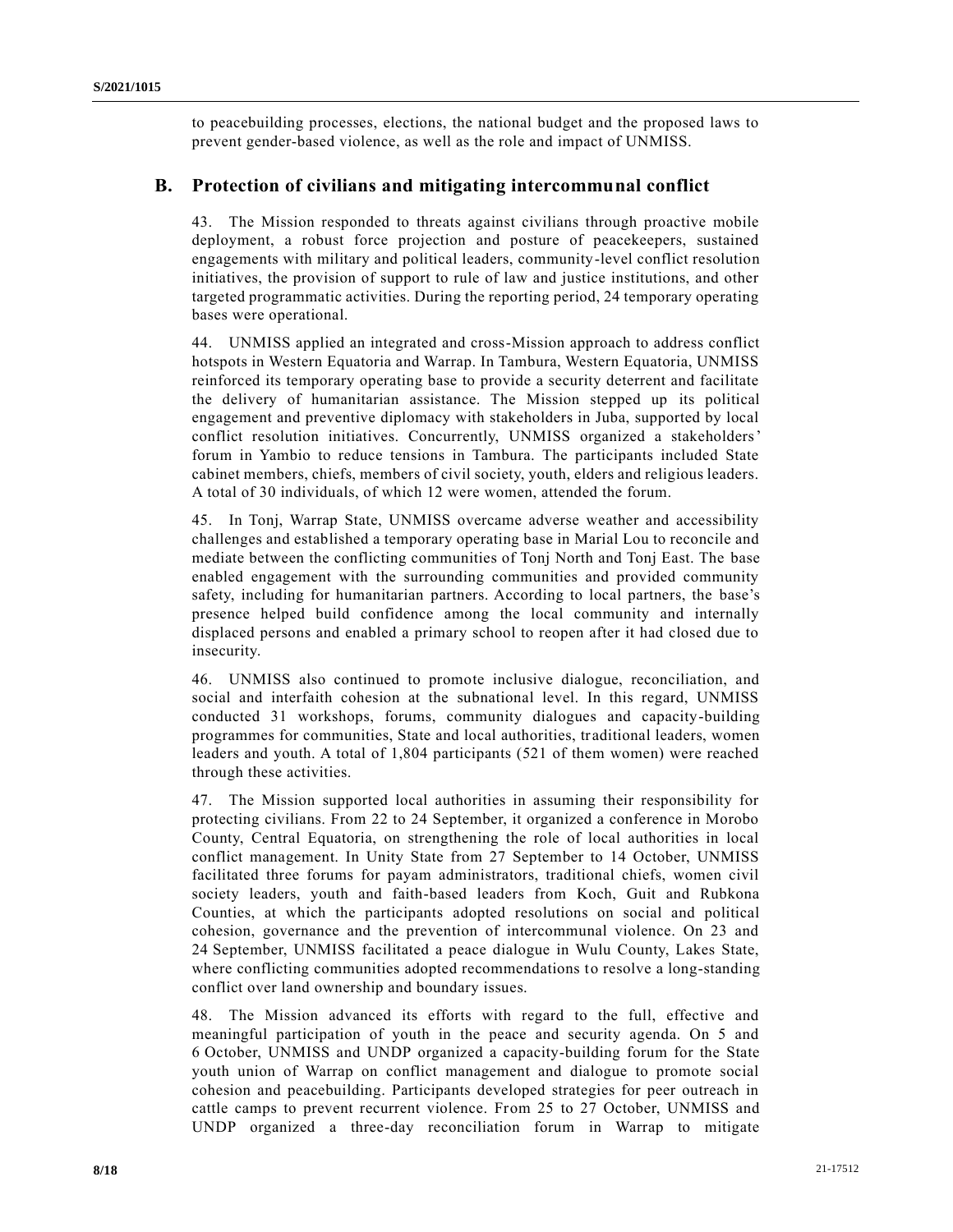to peacebuilding processes, elections, the national budget and the proposed laws to prevent gender-based violence, as well as the role and impact of UNMISS.

### **B. Protection of civilians and mitigating intercommunal conflict**

43. The Mission responded to threats against civilians through proactive mobile deployment, a robust force projection and posture of peacekeepers, sustained engagements with military and political leaders, community-level conflict resolution initiatives, the provision of support to rule of law and justice institutions, and other targeted programmatic activities. During the reporting period, 24 temporary operating bases were operational.

44. UNMISS applied an integrated and cross-Mission approach to address conflict hotspots in Western Equatoria and Warrap. In Tambura, Western Equatoria, UNMISS reinforced its temporary operating base to provide a security deterrent and facilitate the delivery of humanitarian assistance. The Mission stepped up its political engagement and preventive diplomacy with stakeholders in Juba, supported by local conflict resolution initiatives. Concurrently, UNMISS organized a stakeholders' forum in Yambio to reduce tensions in Tambura. The participants included State cabinet members, chiefs, members of civil society, youth, elders and religious leaders. A total of 30 individuals, of which 12 were women, attended the forum.

45. In Tonj, Warrap State, UNMISS overcame adverse weather and accessibility challenges and established a temporary operating base in Marial Lou to reconcile and mediate between the conflicting communities of Tonj North and Tonj East. The base enabled engagement with the surrounding communities and provided community safety, including for humanitarian partners. According to local partners, the base's presence helped build confidence among the local community and internally displaced persons and enabled a primary school to reopen after it had closed due to insecurity.

46. UNMISS also continued to promote inclusive dialogue, reconciliation, and social and interfaith cohesion at the subnational level. In this regard, UNMISS conducted 31 workshops, forums, community dialogues and capacity-building programmes for communities, State and local authorities, traditional leaders, women leaders and youth. A total of 1,804 participants (521 of them women) were reached through these activities.

47. The Mission supported local authorities in assuming their responsibility for protecting civilians. From 22 to 24 September, it organized a conference in Morobo County, Central Equatoria, on strengthening the role of local authorities in local conflict management. In Unity State from 27 September to 14 October, UNMISS facilitated three forums for payam administrators, traditional chiefs, women civil society leaders, youth and faith-based leaders from Koch, Guit and Rubkona Counties, at which the participants adopted resolutions on social and political cohesion, governance and the prevention of intercommunal violence. On 23 and 24 September, UNMISS facilitated a peace dialogue in Wulu County, Lakes State, where conflicting communities adopted recommendations to resolve a long-standing conflict over land ownership and boundary issues.

48. The Mission advanced its efforts with regard to the full, effective and meaningful participation of youth in the peace and security agenda. On 5 and 6 October, UNMISS and UNDP organized a capacity-building forum for the State youth union of Warrap on conflict management and dialogue to promote social cohesion and peacebuilding. Participants developed strategies for peer outreach in cattle camps to prevent recurrent violence. From 25 to 27 October, UNMISS and UNDP organized a three-day reconciliation forum in Warrap to mitigate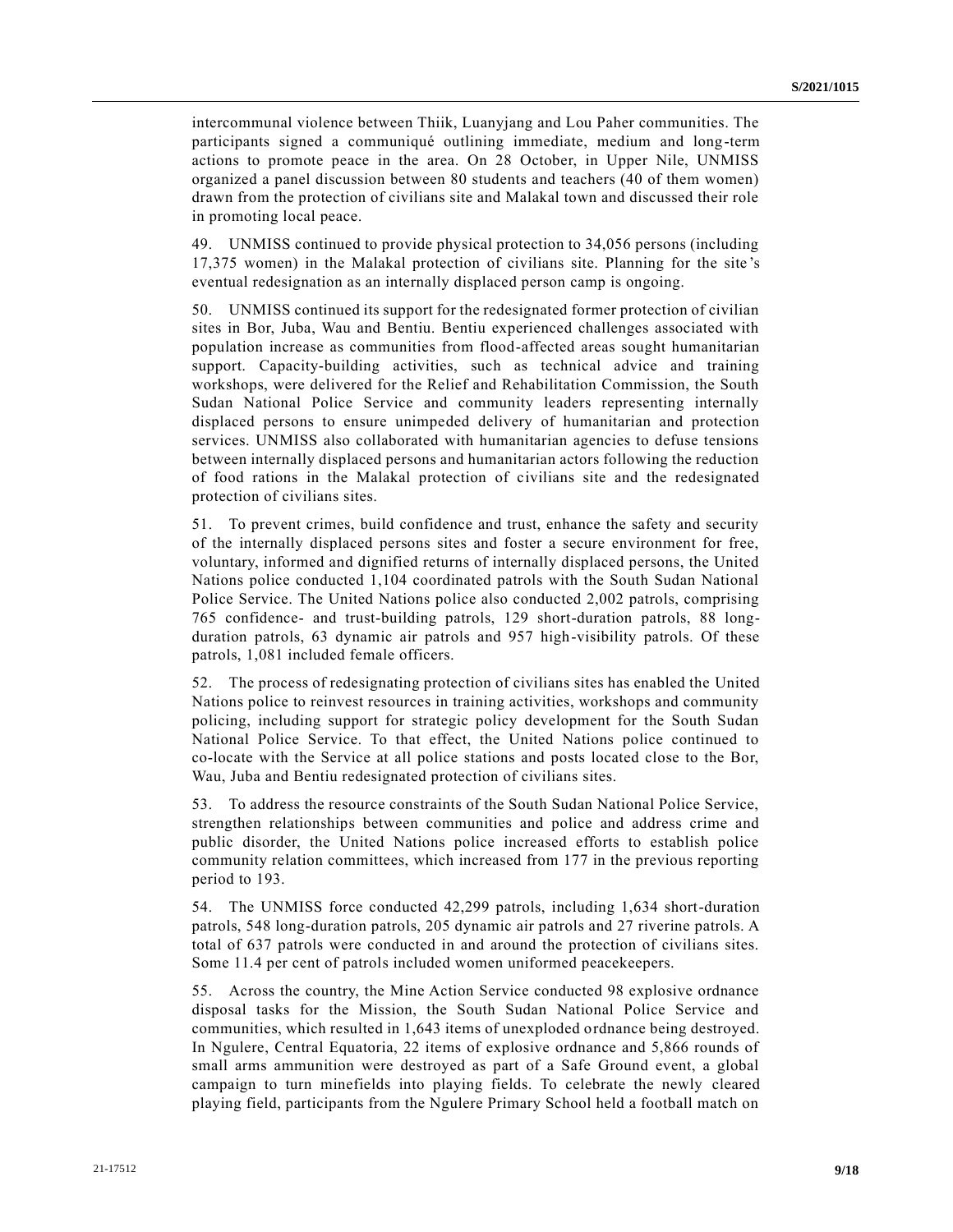intercommunal violence between Thiik, Luanyjang and Lou Paher communities. The participants signed a communiqué outlining immediate, medium and long-term actions to promote peace in the area. On 28 October, in Upper Nile, UNMISS organized a panel discussion between 80 students and teachers (40 of them women) drawn from the protection of civilians site and Malakal town and discussed their role in promoting local peace.

49. UNMISS continued to provide physical protection to 34,056 persons (including 17,375 women) in the Malakal protection of civilians site. Planning for the site 's eventual redesignation as an internally displaced person camp is ongoing.

50. UNMISS continued its support for the redesignated former protection of civilian sites in Bor, Juba, Wau and Bentiu. Bentiu experienced challenges associated with population increase as communities from flood-affected areas sought humanitarian support. Capacity-building activities, such as technical advice and training workshops, were delivered for the Relief and Rehabilitation Commission, the South Sudan National Police Service and community leaders representing internally displaced persons to ensure unimpeded delivery of humanitarian and protection services. UNMISS also collaborated with humanitarian agencies to defuse tensions between internally displaced persons and humanitarian actors following the reduction of food rations in the Malakal protection of civilians site and the redesignated protection of civilians sites.

51. To prevent crimes, build confidence and trust, enhance the safety and security of the internally displaced persons sites and foster a secure environment for free, voluntary, informed and dignified returns of internally displaced persons, the United Nations police conducted 1,104 coordinated patrols with the South Sudan National Police Service. The United Nations police also conducted 2,002 patrols, comprising 765 confidence- and trust-building patrols, 129 short-duration patrols, 88 longduration patrols, 63 dynamic air patrols and 957 high-visibility patrols. Of these patrols, 1,081 included female officers.

52. The process of redesignating protection of civilians sites has enabled the United Nations police to reinvest resources in training activities, workshops and community policing, including support for strategic policy development for the South Sudan National Police Service. To that effect, the United Nations police continued to co-locate with the Service at all police stations and posts located close to the Bor, Wau, Juba and Bentiu redesignated protection of civilians sites.

53. To address the resource constraints of the South Sudan National Police Service, strengthen relationships between communities and police and address crime and public disorder, the United Nations police increased efforts to establish police community relation committees, which increased from 177 in the previous reporting period to 193.

54. The UNMISS force conducted 42,299 patrols, including 1,634 short-duration patrols, 548 long-duration patrols, 205 dynamic air patrols and 27 riverine patrols. A total of 637 patrols were conducted in and around the protection of civilians sites. Some 11.4 per cent of patrols included women uniformed peacekeepers.

55. Across the country, the Mine Action Service conducted 98 explosive ordnance disposal tasks for the Mission, the South Sudan National Police Service and communities, which resulted in 1,643 items of unexploded ordnance being destroyed. In Ngulere, Central Equatoria, 22 items of explosive ordnance and 5,866 rounds of small arms ammunition were destroyed as part of a Safe Ground event, a global campaign to turn minefields into playing fields. To celebrate the newly cleared playing field, participants from the Ngulere Primary School held a football match on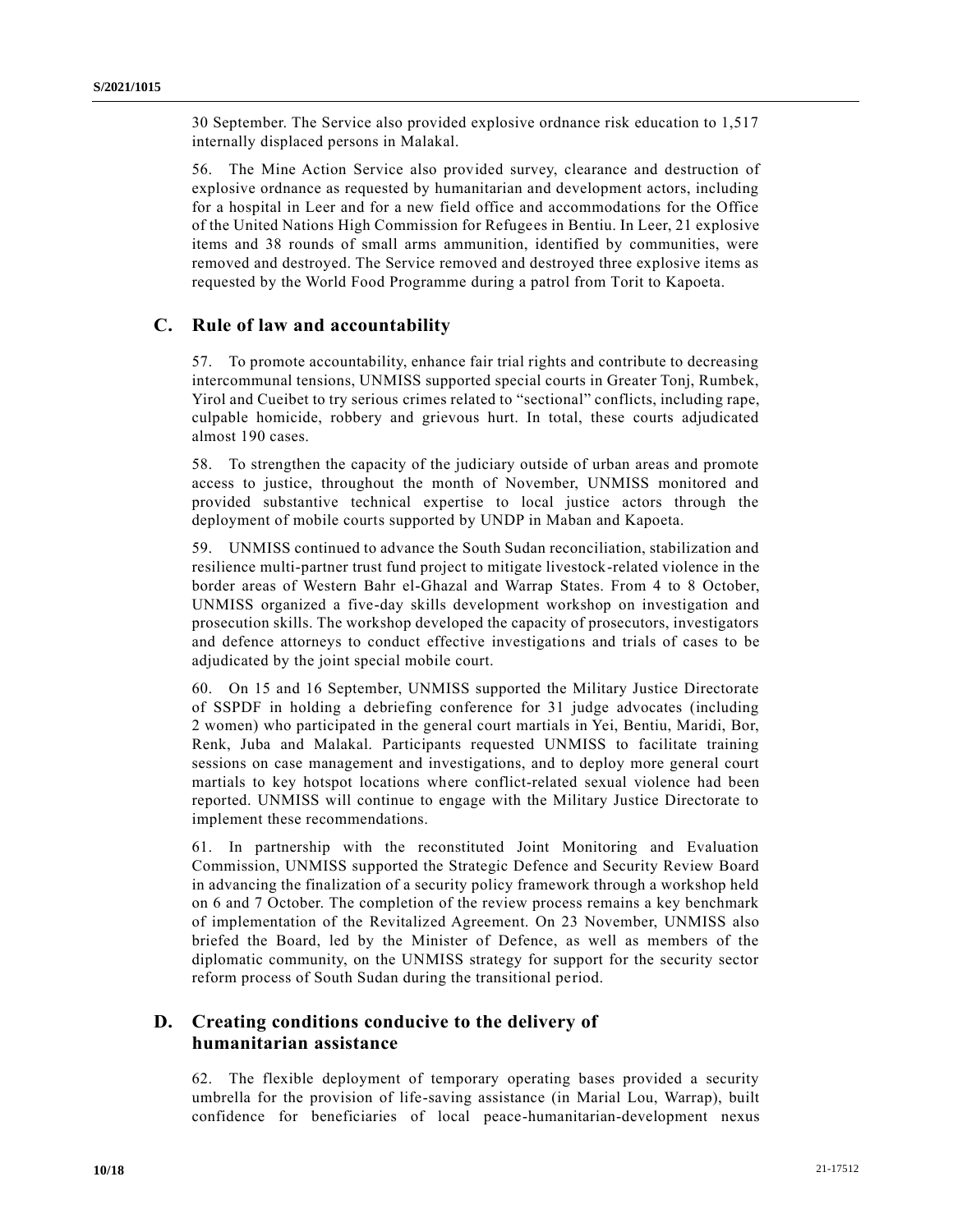30 September. The Service also provided explosive ordnance risk education to 1,517 internally displaced persons in Malakal.

56. The Mine Action Service also provided survey, clearance and destruction of explosive ordnance as requested by humanitarian and development actors, including for a hospital in Leer and for a new field office and accommodations for the Office of the United Nations High Commission for Refugees in Bentiu. In Leer, 21 explosive items and 38 rounds of small arms ammunition, identified by communities, were removed and destroyed. The Service removed and destroyed three explosive items as requested by the World Food Programme during a patrol from Torit to Kapoeta.

### **C. Rule of law and accountability**

57. To promote accountability, enhance fair trial rights and contribute to decreasing intercommunal tensions, UNMISS supported special courts in Greater Tonj, Rumbek, Yirol and Cueibet to try serious crimes related to "sectional" conflicts, including rape, culpable homicide, robbery and grievous hurt. In total, these courts adjudicated almost 190 cases.

58. To strengthen the capacity of the judiciary outside of urban areas and promote access to justice, throughout the month of November, UNMISS monitored and provided substantive technical expertise to local justice actors through the deployment of mobile courts supported by UNDP in Maban and Kapoeta.

59. UNMISS continued to advance the South Sudan reconciliation, stabilization and resilience multi-partner trust fund project to mitigate livestock-related violence in the border areas of Western Bahr el-Ghazal and Warrap States. From 4 to 8 October, UNMISS organized a five-day skills development workshop on investigation and prosecution skills. The workshop developed the capacity of prosecutors, investigators and defence attorneys to conduct effective investigations and trials of cases to be adjudicated by the joint special mobile court.

60. On 15 and 16 September, UNMISS supported the Military Justice Directorate of SSPDF in holding a debriefing conference for 31 judge advocates (including 2 women) who participated in the general court martials in Yei, Bentiu, Maridi, Bor, Renk, Juba and Malakal. Participants requested UNMISS to facilitate training sessions on case management and investigations, and to deploy more general court martials to key hotspot locations where conflict-related sexual violence had been reported. UNMISS will continue to engage with the Military Justice Directorate to implement these recommendations.

61. In partnership with the reconstituted Joint Monitoring and Evaluation Commission, UNMISS supported the Strategic Defence and Security Review Board in advancing the finalization of a security policy framework through a workshop held on 6 and 7 October. The completion of the review process remains a key benchmark of implementation of the Revitalized Agreement. On 23 November, UNMISS also briefed the Board, led by the Minister of Defence, as well as members of the diplomatic community, on the UNMISS strategy for support for the security sector reform process of South Sudan during the transitional period.

### **D. Creating conditions conducive to the delivery of humanitarian assistance**

62. The flexible deployment of temporary operating bases provided a security umbrella for the provision of life-saving assistance (in Marial Lou, Warrap), built confidence for beneficiaries of local peace-humanitarian-development nexus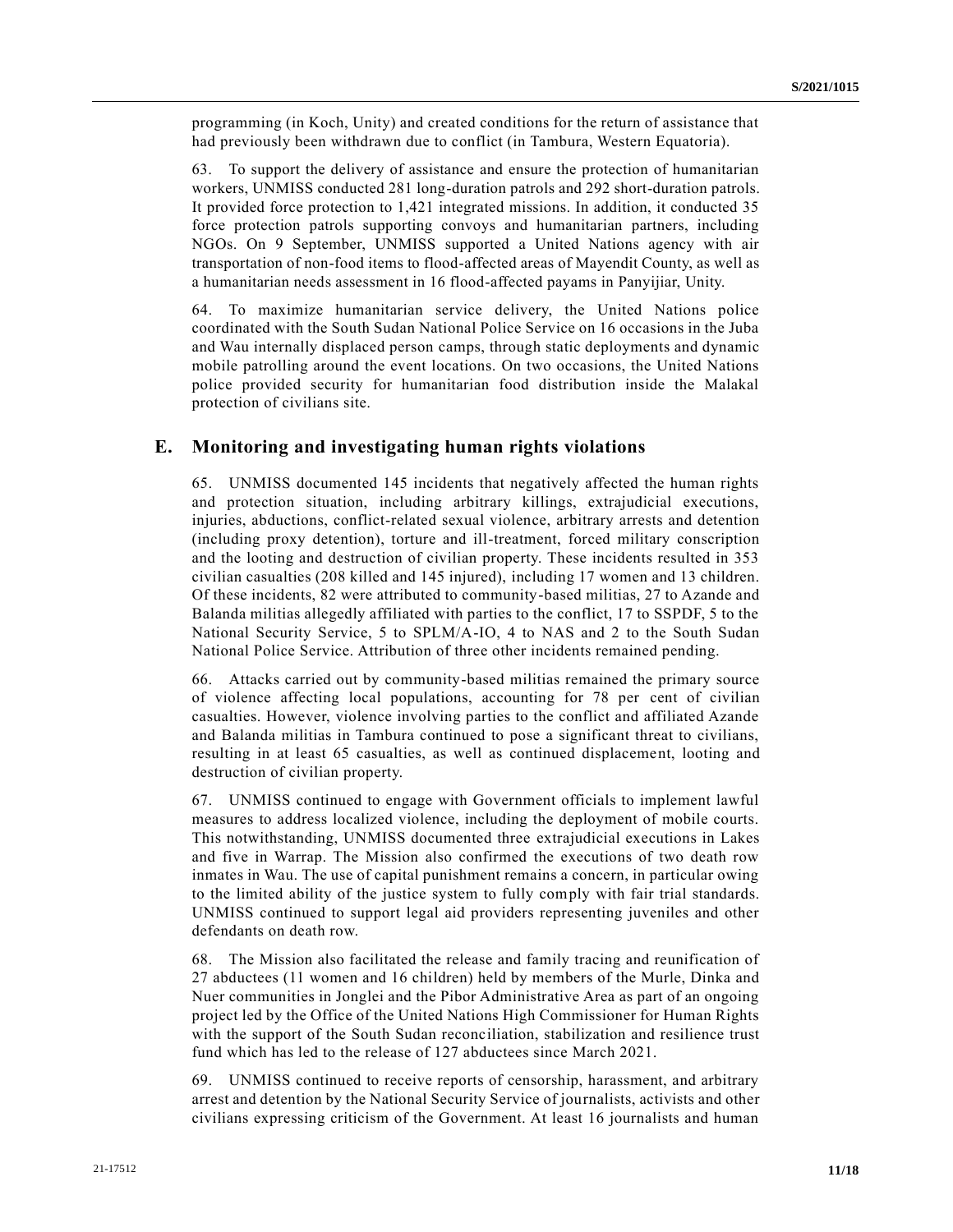programming (in Koch, Unity) and created conditions for the return of assistance that had previously been withdrawn due to conflict (in Tambura, Western Equatoria).

63. To support the delivery of assistance and ensure the protection of humanitarian workers, UNMISS conducted 281 long-duration patrols and 292 short-duration patrols. It provided force protection to 1,421 integrated missions. In addition, it conducted 35 force protection patrols supporting convoys and humanitarian partners, including NGOs. On 9 September, UNMISS supported a United Nations agency with air transportation of non-food items to flood-affected areas of Mayendit County, as well as a humanitarian needs assessment in 16 flood-affected payams in Panyijiar, Unity.

64. To maximize humanitarian service delivery, the United Nations police coordinated with the South Sudan National Police Service on 16 occasions in the Juba and Wau internally displaced person camps, through static deployments and dynamic mobile patrolling around the event locations. On two occasions, the United Nations police provided security for humanitarian food distribution inside the Malakal protection of civilians site.

### **E. Monitoring and investigating human rights violations**

65. UNMISS documented 145 incidents that negatively affected the human rights and protection situation, including arbitrary killings, extrajudicial executions, injuries, abductions, conflict-related sexual violence, arbitrary arrests and detention (including proxy detention), torture and ill-treatment, forced military conscription and the looting and destruction of civilian property. These incidents resulted in 353 civilian casualties (208 killed and 145 injured), including 17 women and 13 children. Of these incidents, 82 were attributed to community-based militias, 27 to Azande and Balanda militias allegedly affiliated with parties to the conflict, 17 to SSPDF, 5 to the National Security Service, 5 to SPLM/A-IO, 4 to NAS and 2 to the South Sudan National Police Service. Attribution of three other incidents remained pending.

66. Attacks carried out by community-based militias remained the primary source of violence affecting local populations, accounting for 78 per cent of civilian casualties. However, violence involving parties to the conflict and affiliated Azande and Balanda militias in Tambura continued to pose a significant threat to civilians, resulting in at least 65 casualties, as well as continued displacement, looting and destruction of civilian property.

67. UNMISS continued to engage with Government officials to implement lawful measures to address localized violence, including the deployment of mobile courts. This notwithstanding, UNMISS documented three extrajudicial executions in Lakes and five in Warrap. The Mission also confirmed the executions of two death row inmates in Wau. The use of capital punishment remains a concern, in particular owing to the limited ability of the justice system to fully comply with fair trial standards. UNMISS continued to support legal aid providers representing juveniles and other defendants on death row.

68. The Mission also facilitated the release and family tracing and reunification of 27 abductees (11 women and 16 children) held by members of the Murle, Dinka and Nuer communities in Jonglei and the Pibor Administrative Area as part of an ongoing project led by the Office of the United Nations High Commissioner for Human Rights with the support of the South Sudan reconciliation, stabilization and resilience trust fund which has led to the release of 127 abductees since March 2021.

69. UNMISS continued to receive reports of censorship, harassment, and arbitrary arrest and detention by the National Security Service of journalists, activists and other civilians expressing criticism of the Government. At least 16 journalists and human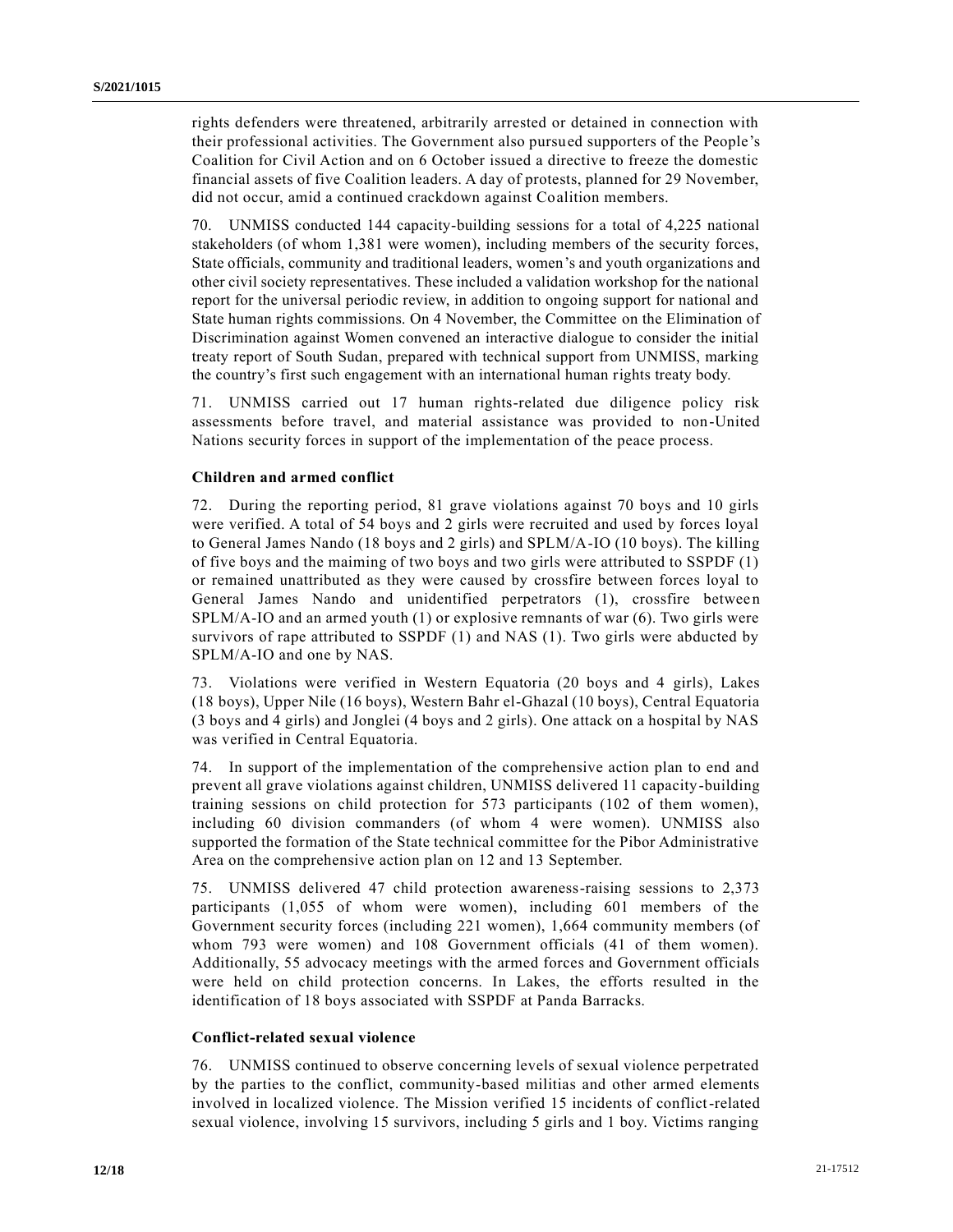rights defenders were threatened, arbitrarily arrested or detained in connection with their professional activities. The Government also pursued supporters of the People's Coalition for Civil Action and on 6 October issued a directive to freeze the domestic financial assets of five Coalition leaders. A day of protests, planned for 29 November, did not occur, amid a continued crackdown against Coalition members.

70. UNMISS conducted 144 capacity-building sessions for a total of 4,225 national stakeholders (of whom 1,381 were women), including members of the security forces, State officials, community and traditional leaders, women's and youth organizations and other civil society representatives. These included a validation workshop for the national report for the universal periodic review, in addition to ongoing support for national and State human rights commissions. On 4 November, the Committee on the Elimination of Discrimination against Women convened an interactive dialogue to consider the initial treaty report of South Sudan, prepared with technical support from UNMISS, marking the country's first such engagement with an international human rights treaty body.

71. UNMISS carried out 17 human rights-related due diligence policy risk assessments before travel, and material assistance was provided to non-United Nations security forces in support of the implementation of the peace process.

### **Children and armed conflict**

72. During the reporting period, 81 grave violations against 70 boys and 10 girls were verified. A total of 54 boys and 2 girls were recruited and used by forces loyal to General James Nando (18 boys and 2 girls) and SPLM/A-IO (10 boys). The killing of five boys and the maiming of two boys and two girls were attributed to SSPDF (1) or remained unattributed as they were caused by crossfire between forces loyal to General James Nando and unidentified perpetrators (1), crossfire between  $SPLM/A-IO$  and an armed youth (1) or explosive remnants of war (6). Two girls were survivors of rape attributed to SSPDF (1) and NAS (1). Two girls were abducted by SPLM/A-IO and one by NAS.

73. Violations were verified in Western Equatoria (20 boys and 4 girls), Lakes (18 boys), Upper Nile (16 boys), Western Bahr el-Ghazal (10 boys), Central Equatoria (3 boys and 4 girls) and Jonglei (4 boys and 2 girls). One attack on a hospital by NAS was verified in Central Equatoria.

74. In support of the implementation of the comprehensive action plan to end and prevent all grave violations against children, UNMISS delivered 11 capacity-building training sessions on child protection for 573 participants (102 of them women), including 60 division commanders (of whom 4 were women). UNMISS also supported the formation of the State technical committee for the Pibor Administrative Area on the comprehensive action plan on 12 and 13 September.

75. UNMISS delivered 47 child protection awareness-raising sessions to 2,373 participants (1,055 of whom were women), including 601 members of the Government security forces (including 221 women), 1,664 community members (of whom 793 were women) and 108 Government officials (41 of them women). Additionally, 55 advocacy meetings with the armed forces and Government officials were held on child protection concerns. In Lakes, the efforts resulted in the identification of 18 boys associated with SSPDF at Panda Barracks.

#### **Conflict-related sexual violence**

76. UNMISS continued to observe concerning levels of sexual violence perpetrated by the parties to the conflict, community-based militias and other armed elements involved in localized violence. The Mission verified 15 incidents of conflict-related sexual violence, involving 15 survivors, including 5 girls and 1 boy. Victims ranging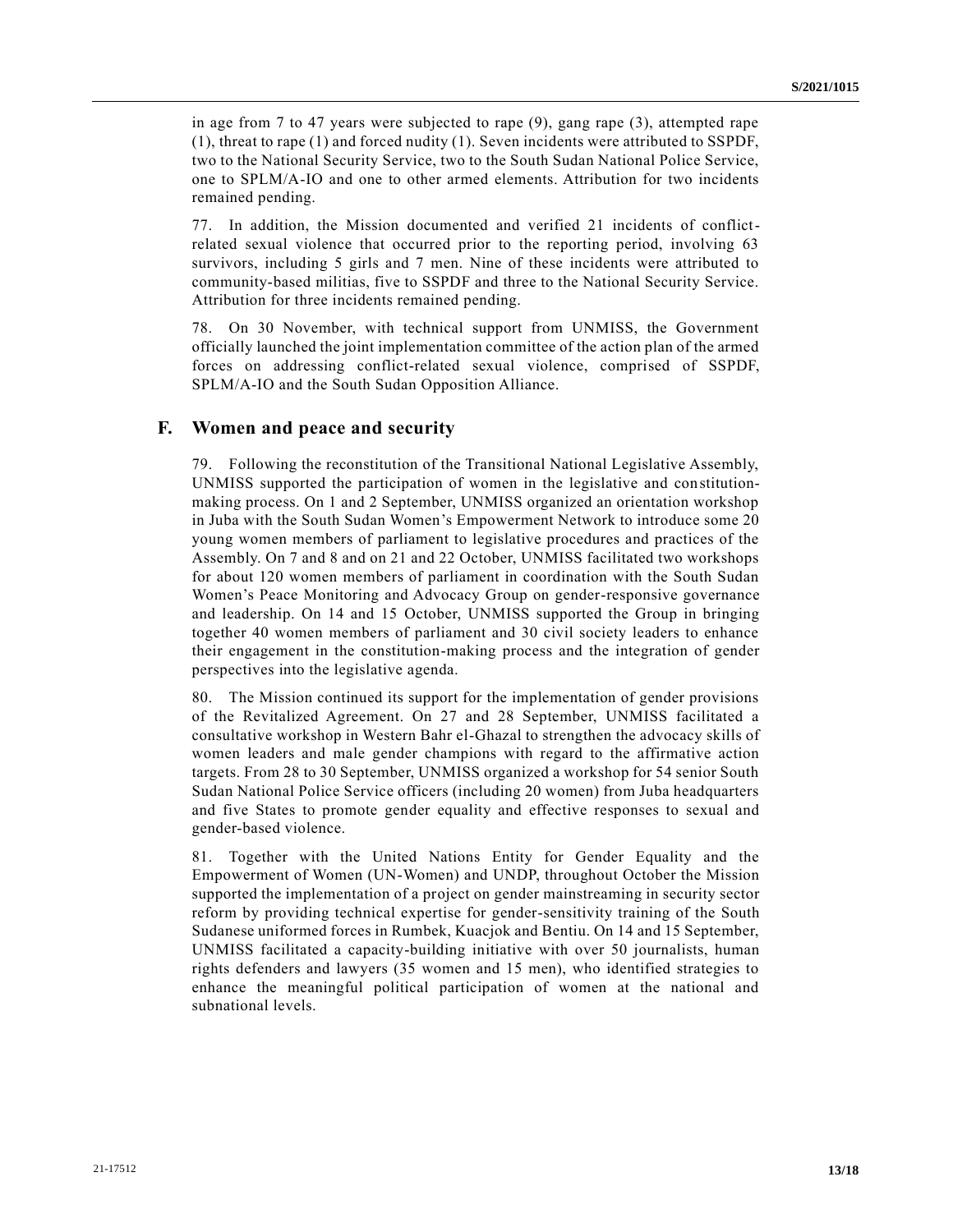in age from 7 to 47 years were subjected to rape (9), gang rape (3), attempted rape (1), threat to rape (1) and forced nudity (1). Seven incidents were attributed to SSPDF, two to the National Security Service, two to the South Sudan National Police Service, one to SPLM/A-IO and one to other armed elements. Attribution for two incidents remained pending.

77. In addition, the Mission documented and verified 21 incidents of conflictrelated sexual violence that occurred prior to the reporting period, involving 63 survivors, including 5 girls and 7 men. Nine of these incidents were attributed to community-based militias, five to SSPDF and three to the National Security Service. Attribution for three incidents remained pending.

78. On 30 November, with technical support from UNMISS, the Government officially launched the joint implementation committee of the action plan of the armed forces on addressing conflict-related sexual violence, comprised of SSPDF, SPLM/A-IO and the South Sudan Opposition Alliance.

### **F. Women and peace and security**

79. Following the reconstitution of the Transitional National Legislative Assembly, UNMISS supported the participation of women in the legislative and constitutionmaking process. On 1 and 2 September, UNMISS organized an orientation workshop in Juba with the South Sudan Women's Empowerment Network to introduce some 20 young women members of parliament to legislative procedures and practices of the Assembly. On 7 and 8 and on 21 and 22 October, UNMISS facilitated two workshops for about 120 women members of parliament in coordination with the South Sudan Women's Peace Monitoring and Advocacy Group on gender-responsive governance and leadership. On 14 and 15 October, UNMISS supported the Group in bringing together 40 women members of parliament and 30 civil society leaders to enhance their engagement in the constitution-making process and the integration of gender perspectives into the legislative agenda.

80. The Mission continued its support for the implementation of gender provisions of the Revitalized Agreement. On 27 and 28 September, UNMISS facilitated a consultative workshop in Western Bahr el-Ghazal to strengthen the advocacy skills of women leaders and male gender champions with regard to the affirmative action targets. From 28 to 30 September, UNMISS organized a workshop for 54 senior South Sudan National Police Service officers (including 20 women) from Juba headquarters and five States to promote gender equality and effective responses to sexual and gender-based violence.

81. Together with the United Nations Entity for Gender Equality and the Empowerment of Women (UN-Women) and UNDP, throughout October the Mission supported the implementation of a project on gender mainstreaming in security sector reform by providing technical expertise for gender-sensitivity training of the South Sudanese uniformed forces in Rumbek, Kuacjok and Bentiu. On 14 and 15 September, UNMISS facilitated a capacity-building initiative with over 50 journalists, human rights defenders and lawyers (35 women and 15 men), who identified strategies to enhance the meaningful political participation of women at the national and subnational levels.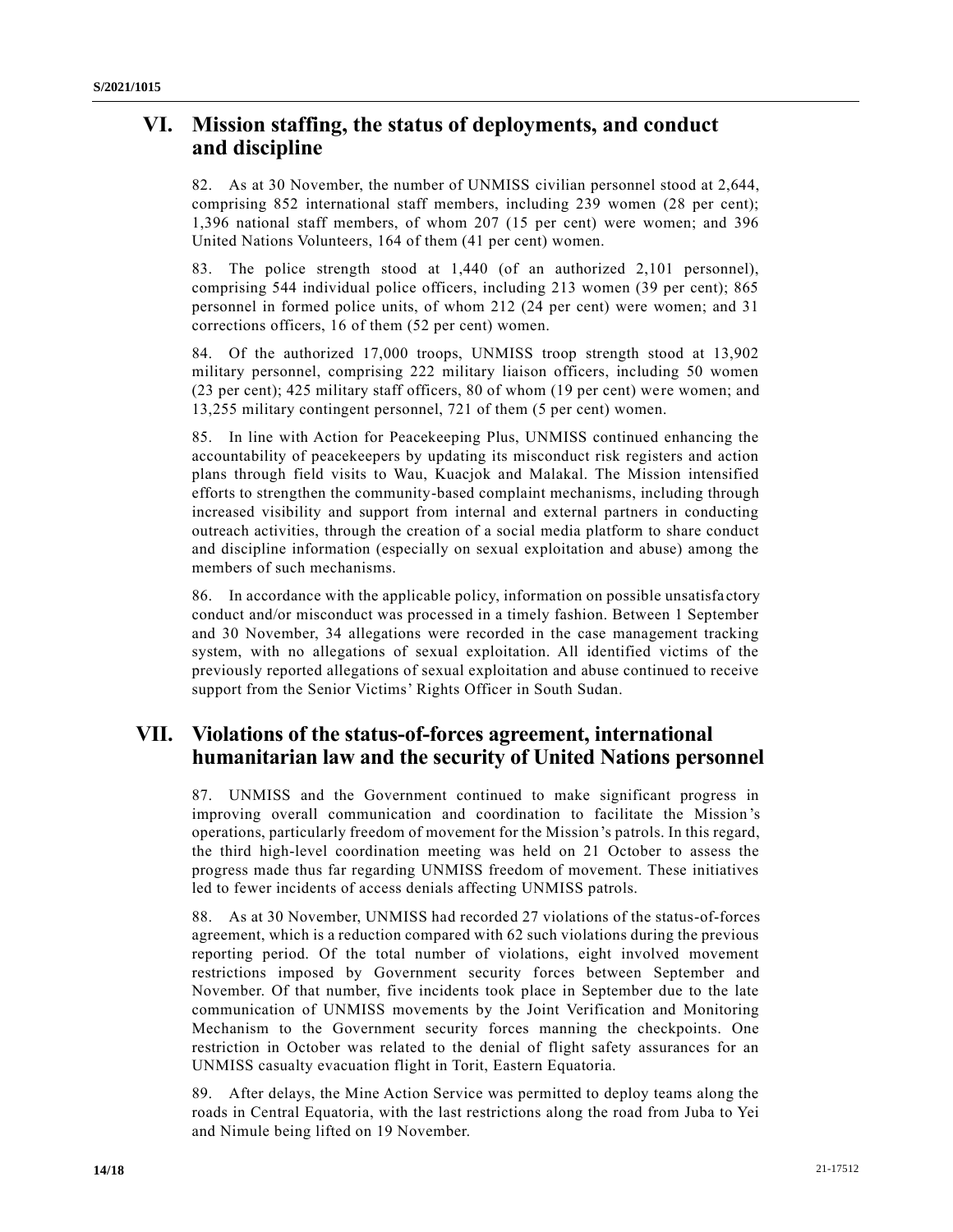# **VI. Mission staffing, the status of deployments, and conduct and discipline**

82. As at 30 November, the number of UNMISS civilian personnel stood at 2,644, comprising 852 international staff members, including 239 women (28 per cent); 1,396 national staff members, of whom 207 (15 per cent) were women; and 396 United Nations Volunteers, 164 of them (41 per cent) women.

83. The police strength stood at 1,440 (of an authorized 2,101 personnel), comprising 544 individual police officers, including 213 women (39 per cent); 865 personnel in formed police units, of whom 212 (24 per cent) were women; and 31 corrections officers, 16 of them (52 per cent) women.

84. Of the authorized 17,000 troops, UNMISS troop strength stood at 13,902 military personnel, comprising 222 military liaison officers, including 50 women (23 per cent); 425 military staff officers, 80 of whom (19 per cent) were women; and 13,255 military contingent personnel, 721 of them (5 per cent) women.

85. In line with Action for Peacekeeping Plus, UNMISS continued enhancing the accountability of peacekeepers by updating its misconduct risk registers and action plans through field visits to Wau, Kuacjok and Malakal. The Mission intensified efforts to strengthen the community-based complaint mechanisms, including through increased visibility and support from internal and external partners in conducting outreach activities, through the creation of a social media platform to share conduct and discipline information (especially on sexual exploitation and abuse) among the members of such mechanisms.

86. In accordance with the applicable policy, information on possible unsatisfa ctory conduct and/or misconduct was processed in a timely fashion. Between 1 September and 30 November, 34 allegations were recorded in the case management tracking system, with no allegations of sexual exploitation. All identified victims of the previously reported allegations of sexual exploitation and abuse continued to receive support from the Senior Victims' Rights Officer in South Sudan.

# **VII. Violations of the status-of-forces agreement, international humanitarian law and the security of United Nations personnel**

87. UNMISS and the Government continued to make significant progress in improving overall communication and coordination to facilitate the Mission 's operations, particularly freedom of movement for the Mission's patrols. In this regard, the third high-level coordination meeting was held on 21 October to assess the progress made thus far regarding UNMISS freedom of movement. These initiatives led to fewer incidents of access denials affecting UNMISS patrols.

88. As at 30 November, UNMISS had recorded 27 violations of the status-of-forces agreement, which is a reduction compared with 62 such violations during the previous reporting period. Of the total number of violations, eight involved movement restrictions imposed by Government security forces between September and November. Of that number, five incidents took place in September due to the late communication of UNMISS movements by the Joint Verification and Monitoring Mechanism to the Government security forces manning the checkpoints. One restriction in October was related to the denial of flight safety assurances for an UNMISS casualty evacuation flight in Torit, Eastern Equatoria.

89. After delays, the Mine Action Service was permitted to deploy teams along the roads in Central Equatoria, with the last restrictions along the road from Juba to Yei and Nimule being lifted on 19 November.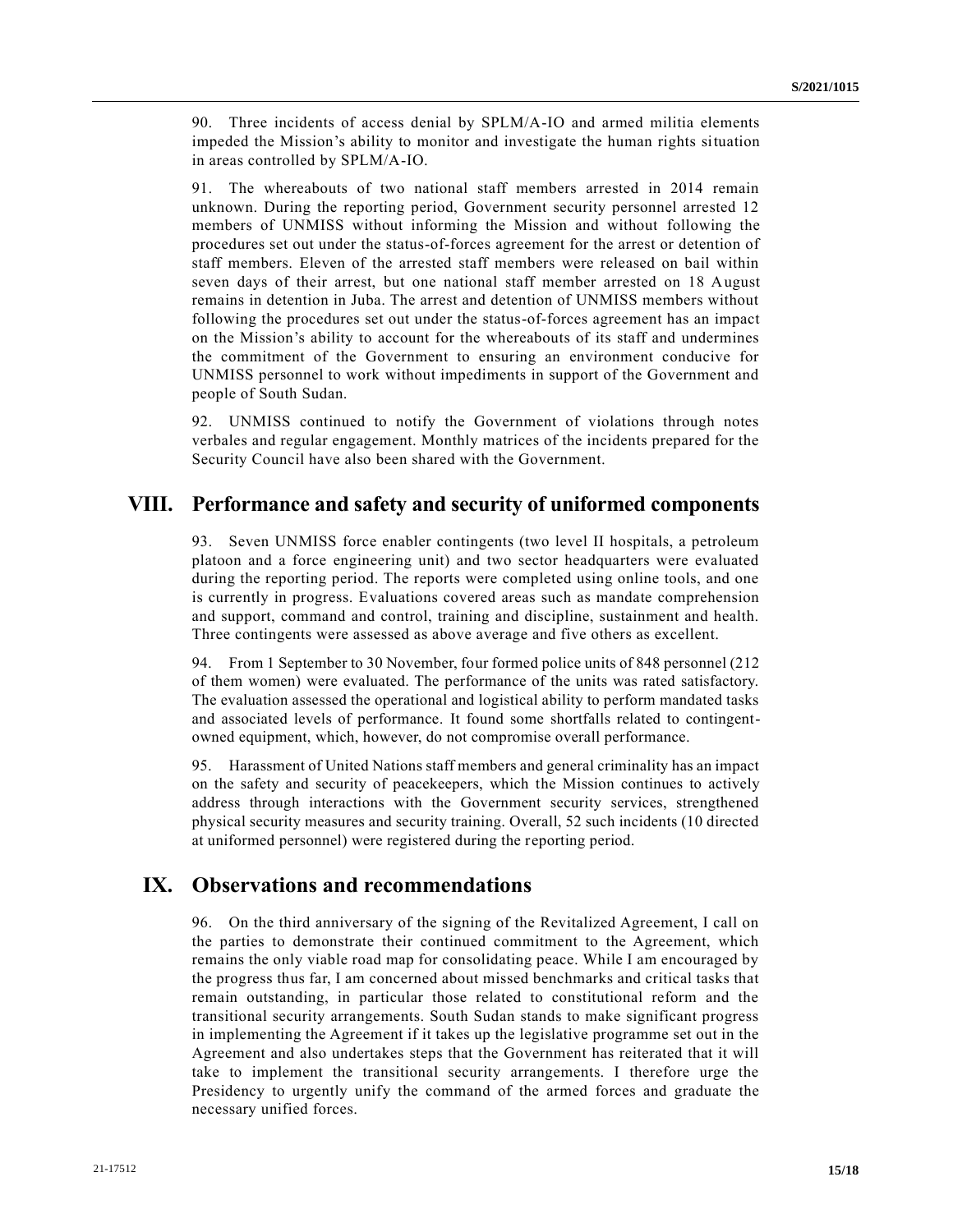90. Three incidents of access denial by SPLM/A-IO and armed militia elements impeded the Mission's ability to monitor and investigate the human rights situation in areas controlled by SPLM/A-IO.

91. The whereabouts of two national staff members arrested in 2014 remain unknown. During the reporting period, Government security personnel arrested 12 members of UNMISS without informing the Mission and without following the procedures set out under the status-of-forces agreement for the arrest or detention of staff members. Eleven of the arrested staff members were released on bail within seven days of their arrest, but one national staff member arrested on 18 August remains in detention in Juba. The arrest and detention of UNMISS members without following the procedures set out under the status-of-forces agreement has an impact on the Mission's ability to account for the whereabouts of its staff and undermines the commitment of the Government to ensuring an environment conducive for UNMISS personnel to work without impediments in support of the Government and people of South Sudan.

92. UNMISS continued to notify the Government of violations through notes verbales and regular engagement. Monthly matrices of the incidents prepared for the Security Council have also been shared with the Government.

# **VIII. Performance and safety and security of uniformed components**

93. Seven UNMISS force enabler contingents (two level II hospitals, a petroleum platoon and a force engineering unit) and two sector headquarters were evaluated during the reporting period. The reports were completed using online tools, and one is currently in progress. Evaluations covered areas such as mandate comprehension and support, command and control, training and discipline, sustainment and health. Three contingents were assessed as above average and five others as excellent.

94. From 1 September to 30 November, four formed police units of 848 personnel (212 of them women) were evaluated. The performance of the units was rated satisfactory. The evaluation assessed the operational and logistical ability to perform mandated tasks and associated levels of performance. It found some shortfalls related to contingentowned equipment, which, however, do not compromise overall performance.

95. Harassment of United Nations staff members and general criminality has an impact on the safety and security of peacekeepers, which the Mission continues to actively address through interactions with the Government security services, strengthened physical security measures and security training. Overall, 52 such incidents (10 directed at uniformed personnel) were registered during the reporting period.

# **IX. Observations and recommendations**

96. On the third anniversary of the signing of the Revitalized Agreement, I call on the parties to demonstrate their continued commitment to the Agreement, which remains the only viable road map for consolidating peace. While I am encouraged by the progress thus far, I am concerned about missed benchmarks and critical tasks that remain outstanding, in particular those related to constitutional reform and the transitional security arrangements. South Sudan stands to make significant progress in implementing the Agreement if it takes up the legislative programme set out in the Agreement and also undertakes steps that the Government has reiterated that it will take to implement the transitional security arrangements. I therefore urge the Presidency to urgently unify the command of the armed forces and graduate the necessary unified forces.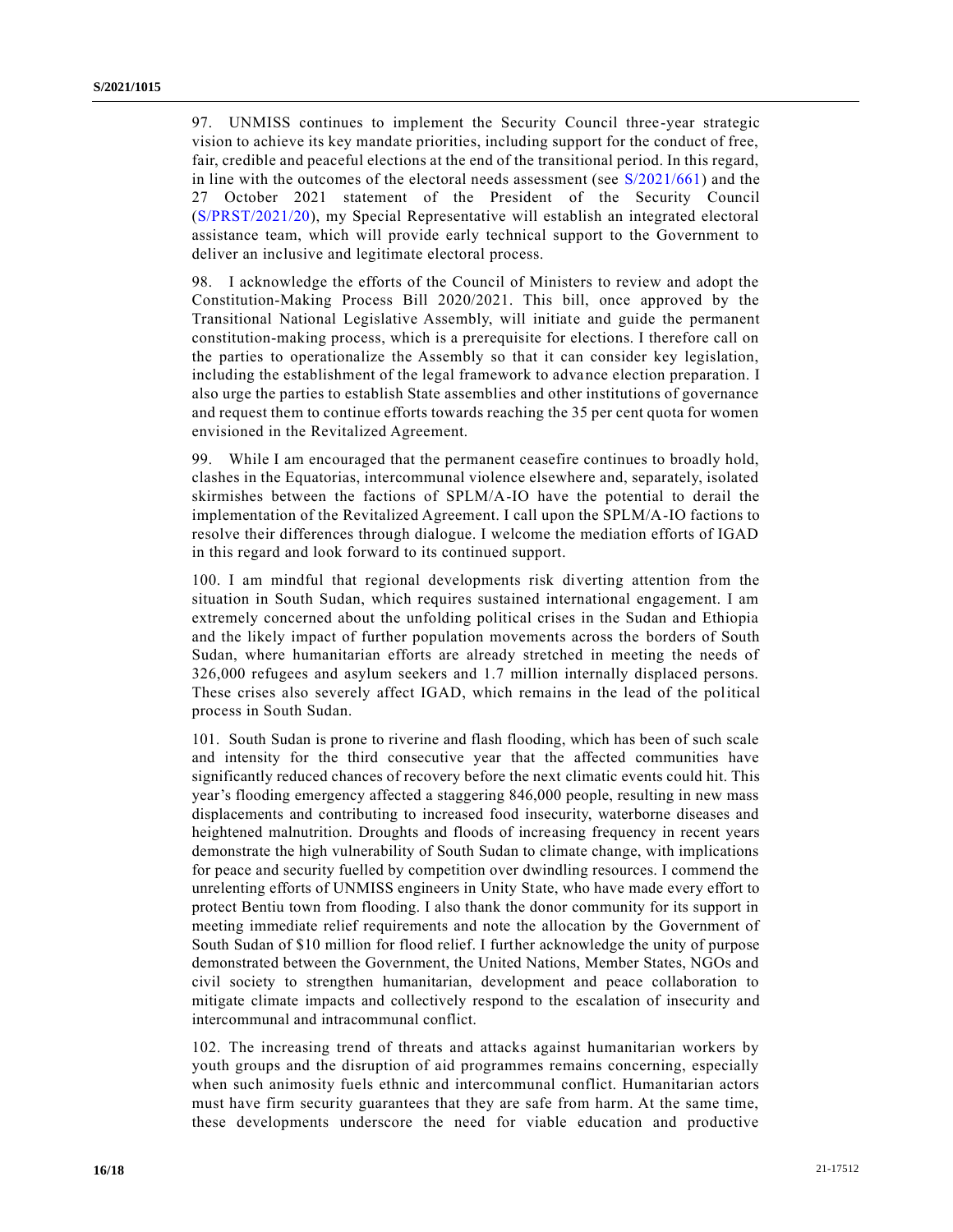97. UNMISS continues to implement the Security Council three-year strategic vision to achieve its key mandate priorities, including support for the conduct of free, fair, credible and peaceful elections at the end of the transitional period. In this regard, in line with the outcomes of the electoral needs assessment (see [S/2021/661\)](https://undocs.org/en/S/2021/661) and the 27 October 2021 statement of the President of the Security Council [\(S/PRST/2021/20\)](https://undocs.org/en/S/PRST/2021/20), my Special Representative will establish an integrated electoral assistance team, which will provide early technical support to the Government to deliver an inclusive and legitimate electoral process.

98. I acknowledge the efforts of the Council of Ministers to review and adopt the Constitution-Making Process Bill 2020/2021. This bill, once approved by the Transitional National Legislative Assembly, will initiate and guide the permanent constitution-making process, which is a prerequisite for elections. I therefore call on the parties to operationalize the Assembly so that it can consider key legislation, including the establishment of the legal framework to advance election preparation. I also urge the parties to establish State assemblies and other institutions of governance and request them to continue efforts towards reaching the 35 per cent quota for women envisioned in the Revitalized Agreement.

99. While I am encouraged that the permanent ceasefire continues to broadly hold, clashes in the Equatorias, intercommunal violence elsewhere and, separately, isolated skirmishes between the factions of SPLM/A-IO have the potential to derail the implementation of the Revitalized Agreement. I call upon the SPLM/A-IO factions to resolve their differences through dialogue. I welcome the mediation efforts of IGAD in this regard and look forward to its continued support.

100. I am mindful that regional developments risk diverting attention from the situation in South Sudan, which requires sustained international engagement. I am extremely concerned about the unfolding political crises in the Sudan and Ethiopia and the likely impact of further population movements across the borders of South Sudan, where humanitarian efforts are already stretched in meeting the needs of 326,000 refugees and asylum seekers and 1.7 million internally displaced persons. These crises also severely affect IGAD, which remains in the lead of the political process in South Sudan.

101. South Sudan is prone to riverine and flash flooding, which has been of such scale and intensity for the third consecutive year that the affected communities have significantly reduced chances of recovery before the next climatic events could hit. This year's flooding emergency affected a staggering 846,000 people, resulting in new mass displacements and contributing to increased food insecurity, waterborne diseases and heightened malnutrition. Droughts and floods of increasing frequency in recent years demonstrate the high vulnerability of South Sudan to climate change, with implications for peace and security fuelled by competition over dwindling resources. I commend the unrelenting efforts of UNMISS engineers in Unity State, who have made every effort to protect Bentiu town from flooding. I also thank the donor community for its support in meeting immediate relief requirements and note the allocation by the Government of South Sudan of \$10 million for flood relief. I further acknowledge the unity of purpose demonstrated between the Government, the United Nations, Member States, NGOs and civil society to strengthen humanitarian, development and peace collaboration to mitigate climate impacts and collectively respond to the escalation of insecurity and intercommunal and intracommunal conflict.

102. The increasing trend of threats and attacks against humanitarian workers by youth groups and the disruption of aid programmes remains concerning, especially when such animosity fuels ethnic and intercommunal conflict. Humanitarian actors must have firm security guarantees that they are safe from harm. At the same time, these developments underscore the need for viable education and productive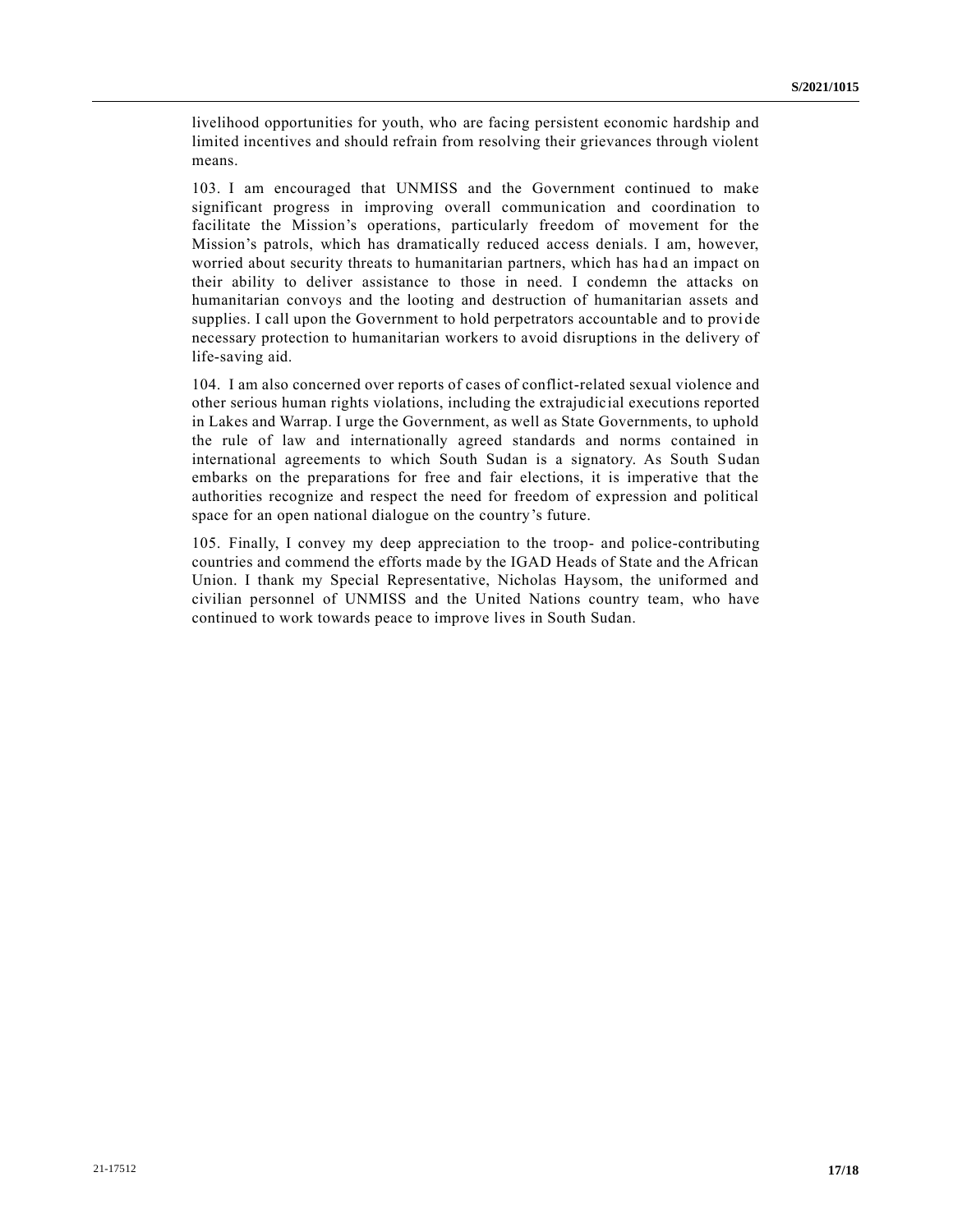livelihood opportunities for youth, who are facing persistent economic hardship and limited incentives and should refrain from resolving their grievances through violent means.

103. I am encouraged that UNMISS and the Government continued to make significant progress in improving overall communication and coordination to facilitate the Mission's operations, particularly freedom of movement for the Mission's patrols, which has dramatically reduced access denials. I am, however, worried about security threats to humanitarian partners, which has had an impact on their ability to deliver assistance to those in need. I condemn the attacks on humanitarian convoys and the looting and destruction of humanitarian assets and supplies. I call upon the Government to hold perpetrators accountable and to provide necessary protection to humanitarian workers to avoid disruptions in the delivery of life-saving aid.

104. I am also concerned over reports of cases of conflict-related sexual violence and other serious human rights violations, including the extrajudicial executions reported in Lakes and Warrap. I urge the Government, as well as State Governments, to uphold the rule of law and internationally agreed standards and norms contained in international agreements to which South Sudan is a signatory. As South Sudan embarks on the preparations for free and fair elections, it is imperative that the authorities recognize and respect the need for freedom of expression and political space for an open national dialogue on the country's future.

105. Finally, I convey my deep appreciation to the troop- and police-contributing countries and commend the efforts made by the IGAD Heads of State and the African Union. I thank my Special Representative, Nicholas Haysom, the uniformed and civilian personnel of UNMISS and the United Nations country team, who have continued to work towards peace to improve lives in South Sudan.